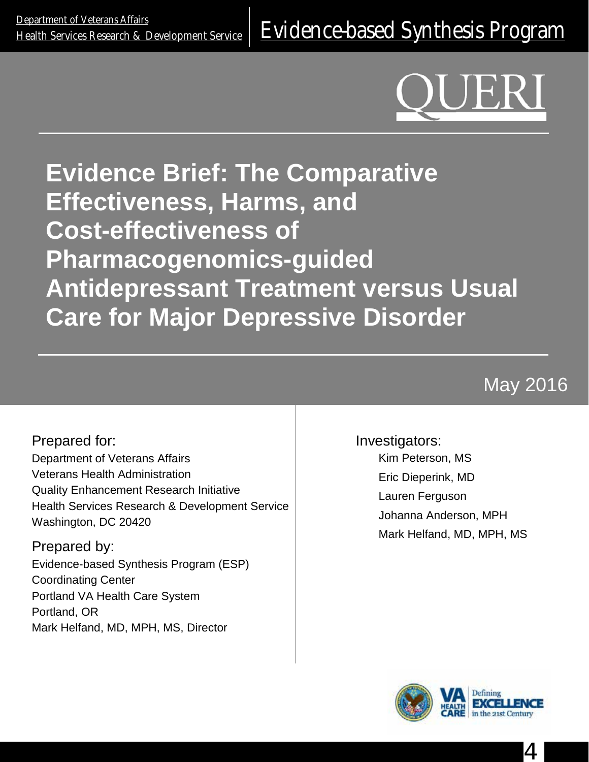# **Evidence Brief: The Comparative Effectiveness, Harms, and Cost-effectiveness of Pharmacogenomics-guided Antidepressant Treatment versus Usual Care for Major Depressive Disorder**

May 2016

Prepared for: Department of Veterans Affairs Veterans Health Administration Quality Enhancement Research Initiative Health Services Research & Development Service Washington, DC 20420

Prepared by: Evidence-based Synthesis Program (ESP) Coordinating Center Portland VA Health Care System Portland, OR Mark Helfand, MD, MPH, MS, Director

Investigators: Kim Peterson, MS Eric Dieperink, MD Lauren Ferguson Johanna Anderson, MPH Mark Helfand, MD, MPH, MS



4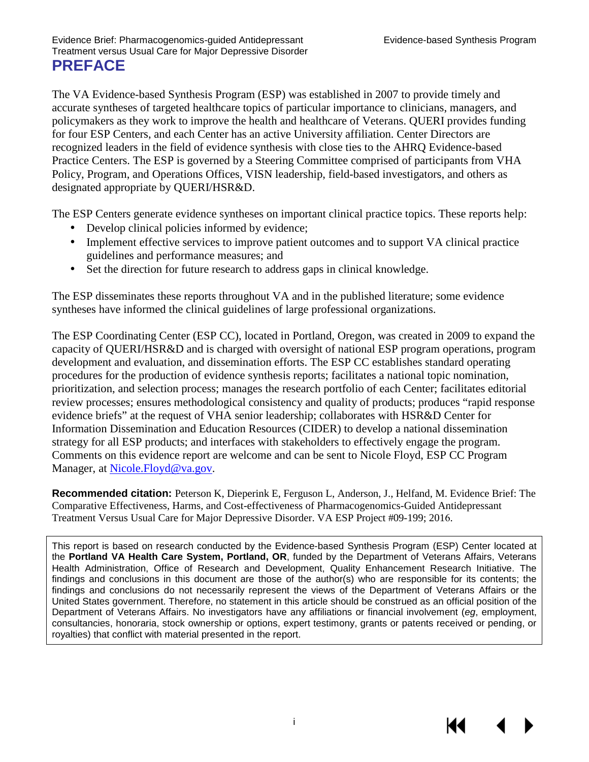The VA Evidence-based Synthesis Program (ESP) was established in 2007 to provide timely and accurate syntheses of targeted healthcare topics of particular importance to clinicians, managers, and policymakers as they work to improve the health and healthcare of Veterans. QUERI provides funding for four ESP Centers, and each Center has an active University affiliation. Center Directors are recognized leaders in the field of evidence synthesis with close ties to the AHRQ Evidence-based Practice Centers. The ESP is governed by a Steering Committee comprised of participants from VHA Policy, Program, and Operations Offices, VISN leadership, field-based investigators, and others as designated appropriate by QUERI/HSR&D.

The ESP Centers generate evidence syntheses on important clinical practice topics. These reports help:

- Develop clinical policies informed by evidence;
- Implement effective services to improve patient outcomes and to support VA clinical practice guidelines and performance measures; and
- Set the direction for future research to address gaps in clinical knowledge.  $\mathbf{r}$

The ESP disseminates these reports throughout VA and in the published literature; some evidence syntheses have informed the clinical guidelines of large professional organizations.

The ESP Coordinating Center (ESP CC), located in Portland, Oregon, was created in 2009 to expand the capacity of QUERI/HSR&D and is charged with oversight of national ESP program operations, program development and evaluation, and dissemination efforts. The ESP CC establishes standard operating procedures for the production of evidence synthesis reports; facilitates a national topic nomination, prioritization, and selection process; manages the research portfolio of each Center; facilitates editorial review processes; ensures methodological consistency and quality of products; produces "rapid response evidence briefs" at the request of VHA senior leadership; collaborates with HSR&D Center for Information Dissemination and Education Resources (CIDER) to develop a national dissemination strategy for all ESP products; and interfaces with stakeholders to effectively engage the program. Comments on this evidence report are welcome and can be sent to Nicole Floyd, ESP CC Program Manager, at [Nicole.Floyd@va.gov.](mailto:Nicole.Floyd@va.gov)

**Recommended citation:** Peterson K, Dieperink E, Ferguson L, Anderson, J., Helfand, M. Evidence Brief: The Comparative Effectiveness, Harms, and Cost-effectiveness of Pharmacogenomics-Guided Antidepressant Treatment Versus Usual Care for Major Depressive Disorder. VA ESP Project #09-199; 2016.

This report is based on research conducted by the Evidence-based Synthesis Program (ESP) Center located at the **Portland VA Health Care System, Portland, OR**, funded by the Department of Veterans Affairs, Veterans Health Administration, Office of Research and Development, Quality Enhancement Research Initiative. The findings and conclusions in this document are those of the author(s) who are responsible for its contents; the findings and conclusions do not necessarily represent the views of the Department of Veterans Affairs or the United States government. Therefore, no statement in this article should be construed as an official position of the Department of Veterans Affairs. No investigators have any affiliations or financial involvement (*eg*, employment, consultancies, honoraria, stock ownership or options, expert testimony, grants or patents received or pending, or royalties) that conflict with material presented in the report.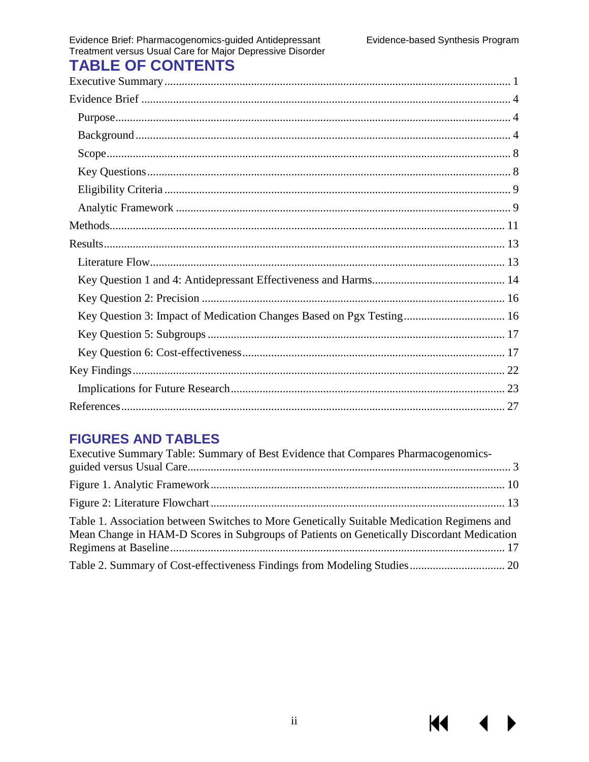$\blacktriangleleft$ 

 $\blacktriangleright$ 

**K4** 

# Evidence Brief: Pharmacogenomics-guided Antidepressant<br>Treatment versus Usual Care for Major Depressive Disorder **TABLE OF CONTENTS**

| Key Question 3: Impact of Medication Changes Based on Pgx Testing 16 |
|----------------------------------------------------------------------|
|                                                                      |
|                                                                      |
|                                                                      |
|                                                                      |
|                                                                      |

# **FIGURES AND TABLES**

| Executive Summary Table: Summary of Best Evidence that Compares Pharmacogenomics-                                                                                                       |  |
|-----------------------------------------------------------------------------------------------------------------------------------------------------------------------------------------|--|
|                                                                                                                                                                                         |  |
|                                                                                                                                                                                         |  |
|                                                                                                                                                                                         |  |
| Table 1. Association between Switches to More Genetically Suitable Medication Regimens and<br>Mean Change in HAM-D Scores in Subgroups of Patients on Genetically Discordant Medication |  |
|                                                                                                                                                                                         |  |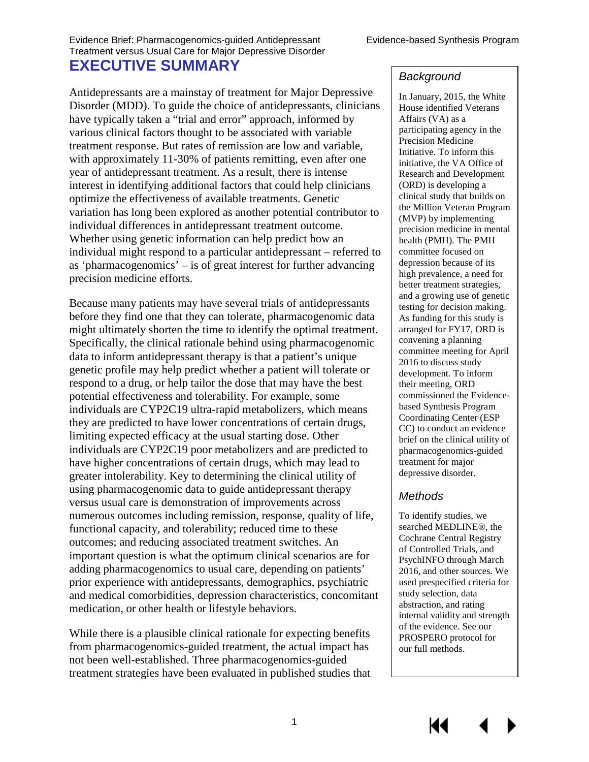<span id="page-3-0"></span>Antidepressants are a mainstay of treatment for Major Depressive Disorder (MDD). To guide the choice of antidepressants, clinicians have typically taken a "trial and error" approach, informed by various clinical factors thought to be associated with variable treatment response. But rates of remission are low and variable, with approximately 11-30% of patients remitting, even after one year of antidepressant treatment. As a result, there is intense interest in identifying additional factors that could help clinicians optimize the effectiveness of available treatments. Genetic variation has long been explored as another potential contributor to individual differences in antidepressant treatment outcome. Whether using genetic information can help predict how an individual might respond to a particular antidepressant – referred to as 'pharmacogenomics' – is of great interest for further advancing precision medicine efforts.

Because many patients may have several trials of antidepressants before they find one that they can tolerate, pharmacogenomic data might ultimately shorten the time to identify the optimal treatment. Specifically, the clinical rationale behind using pharmacogenomic data to inform antidepressant therapy is that a patient's unique genetic profile may help predict whether a patient will tolerate or respond to a drug, or help tailor the dose that may have the best potential effectiveness and tolerability. For example, some individuals are CYP2C19 ultra-rapid metabolizers, which means they are predicted to have lower concentrations of certain drugs, limiting expected efficacy at the usual starting dose. Other individuals are CYP2C19 poor metabolizers and are predicted to have higher concentrations of certain drugs, which may lead to greater intolerability. Key to determining the clinical utility of using pharmacogenomic data to guide antidepressant therapy versus usual care is demonstration of improvements across numerous outcomes including remission, response, quality of life, functional capacity, and tolerability; reduced time to these outcomes; and reducing associated treatment switches. An important question is what the optimum clinical scenarios are for adding pharmacogenomics to usual care, depending on patients' prior experience with antidepressants, demographics, psychiatric and medical comorbidities, depression characteristics, concomitant medication, or other health or lifestyle behaviors.

While there is a plausible clinical rationale for expecting benefits from pharmacogenomics-guided treatment, the actual impact has not been well-established. Three pharmacogenomics-guided treatment strategies have been evaluated in published studies that

#### *Background*

In January, 2015, the White House identified Veterans Affairs (VA) as a participating agency in the Precision Medicine Initiative. To inform this initiative, the VA Office of Research and Development (ORD) is developing a clinical study that builds on the Million Veteran Program (MVP) by implementing precision medicine in mental health (PMH). The PMH committee focused on depression because of its high prevalence, a need for better treatment strategies, and a growing use of genetic testing for decision making. As funding for this study is arranged for FY17, ORD is convening a planning committee meeting for April 2016 to discuss study development. To inform their meeting, ORD commissioned the Evidencebased Synthesis Program Coordinating Center (ESP CC) to conduct an evidence brief on the clinical utility of pharmacogenomics-guided treatment for major depressive disorder.

#### *Methods*

To identify studies, we searched MEDLINE®, the Cochrane Central Registry of Controlled Trials, and PsychINFO through March 2016, and other sources. We used prespecified criteria for study selection, data abstraction, and rating internal validity and strength of the evidence. See our PROSPERO protocol for our full methods.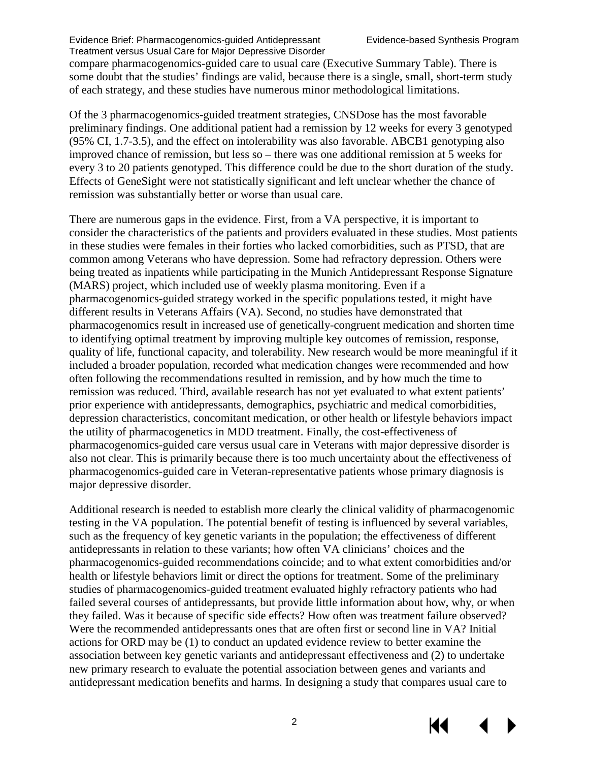compare pharmacogenomics-guided care to usual care (Executive Summary Table). There is some doubt that the studies' findings are valid, because there is a single, small, short-term study of each strategy, and these studies have numerous minor methodological limitations.

Of the 3 pharmacogenomics-guided treatment strategies, CNSDose has the most favorable preliminary findings. One additional patient had a remission by 12 weeks for every 3 genotyped (95% CI, 1.7-3.5), and the effect on intolerability was also favorable. ABCB1 genotyping also improved chance of remission, but less so – there was one additional remission at 5 weeks for every 3 to 20 patients genotyped. This difference could be due to the short duration of the study. Effects of GeneSight were not statistically significant and left unclear whether the chance of remission was substantially better or worse than usual care.

There are numerous gaps in the evidence. First, from a VA perspective, it is important to consider the characteristics of the patients and providers evaluated in these studies. Most patients in these studies were females in their forties who lacked comorbidities, such as PTSD, that are common among Veterans who have depression. Some had refractory depression. Others were being treated as inpatients while participating in the Munich Antidepressant Response Signature (MARS) project, which included use of weekly plasma monitoring. Even if a pharmacogenomics-guided strategy worked in the specific populations tested, it might have different results in Veterans Affairs (VA). Second, no studies have demonstrated that pharmacogenomics result in increased use of genetically-congruent medication and shorten time to identifying optimal treatment by improving multiple key outcomes of remission, response, quality of life, functional capacity, and tolerability. New research would be more meaningful if it included a broader population, recorded what medication changes were recommended and how often following the recommendations resulted in remission, and by how much the time to remission was reduced. Third, available research has not yet evaluated to what extent patients' prior experience with antidepressants, demographics, psychiatric and medical comorbidities, depression characteristics, concomitant medication, or other health or lifestyle behaviors impact the utility of pharmacogenetics in MDD treatment. Finally, the cost-effectiveness of pharmacogenomics-guided care versus usual care in Veterans with major depressive disorder is also not clear. This is primarily because there is too much uncertainty about the effectiveness of pharmacogenomics-guided care in Veteran-representative patients whose primary diagnosis is major depressive disorder.

Additional research is needed to establish more clearly the clinical validity of pharmacogenomic testing in the VA population. The potential benefit of testing is influenced by several variables, such as the frequency of key genetic variants in the population; the effectiveness of different antidepressants in relation to these variants; how often VA clinicians' choices and the pharmacogenomics-guided recommendations coincide; and to what extent comorbidities and/or health or lifestyle behaviors limit or direct the options for treatment. Some of the preliminary studies of pharmacogenomics-guided treatment evaluated highly refractory patients who had failed several courses of antidepressants, but provide little information about how, why, or when they failed. Was it because of specific side effects? How often was treatment failure observed? Were the recommended antidepressants ones that are often first or second line in VA? Initial actions for ORD may be (1) to conduct an updated evidence review to better examine the association between key genetic variants and antidepressant effectiveness and (2) to undertake new primary research to evaluate the potential association between genes and variants and antidepressant medication benefits and harms. In designing a study that compares usual care to

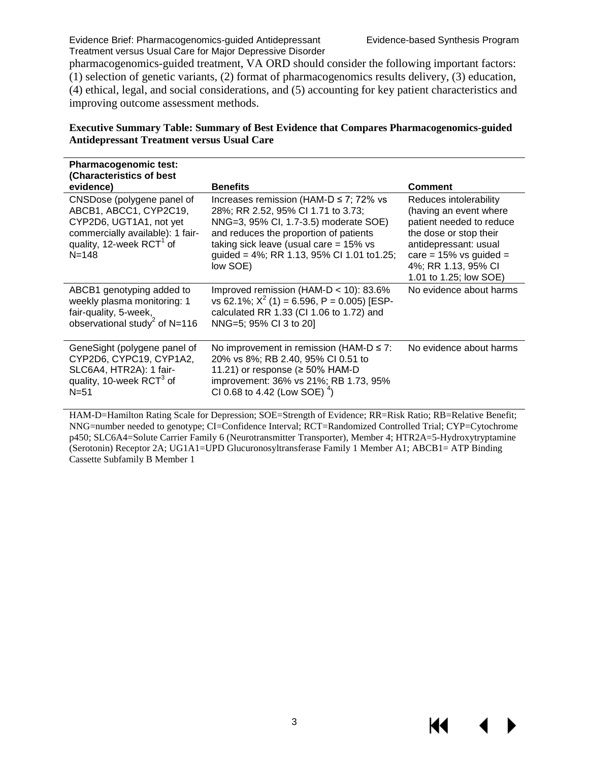KI

pharmacogenomics-guided treatment, VA ORD should consider the following important factors: (1) selection of genetic variants, (2) format of pharmacogenomics results delivery, (3) education, (4) ethical, legal, and social considerations, and (5) accounting for key patient characteristics and improving outcome assessment methods.

#### <span id="page-5-0"></span>**Executive Summary Table: Summary of Best Evidence that Compares Pharmacogenomics-guided Antidepressant Treatment versus Usual Care**

| <b>Pharmacogenomic test:</b><br>(Characteristics of best<br>evidence)                                                                                                    | <b>Benefits</b>                                                                                                                                                                                                                                                            | Comment                                                                                                                                                                                                       |
|--------------------------------------------------------------------------------------------------------------------------------------------------------------------------|----------------------------------------------------------------------------------------------------------------------------------------------------------------------------------------------------------------------------------------------------------------------------|---------------------------------------------------------------------------------------------------------------------------------------------------------------------------------------------------------------|
| CNSDose (polygene panel of<br>ABCB1, ABCC1, CYP2C19,<br>CYP2D6, UGT1A1, not yet<br>commercially available): 1 fair-<br>quality, 12-week RCT <sup>1</sup> of<br>$N = 148$ | Increases remission (HAM-D $\leq$ 7; 72% vs<br>28%; RR 2.52, 95% CI 1.71 to 3.73;<br>NNG=3, 95% CI, 1.7-3.5) moderate SOE)<br>and reduces the proportion of patients<br>taking sick leave (usual care $= 15\%$ vs<br>guided = 4%; RR 1.13, 95% CI 1.01 to1.25;<br>low SOE) | Reduces intolerability<br>(having an event where<br>patient needed to reduce<br>the dose or stop their<br>antidepressant: usual<br>care = $15\%$ vs guided =<br>4%; RR 1.13, 95% CI<br>1.01 to 1.25; low SOE) |
| ABCB1 genotyping added to<br>weekly plasma monitoring: 1<br>fair-quality, 5-week,<br>observational study <sup>2</sup> of N=116                                           | Improved remission (HAM- $D < 10$ ): 83.6%<br>vs 62.1%; $X^2$ (1) = 6.596, P = 0.005) [ESP-<br>calculated RR 1.33 (CI 1.06 to 1.72) and<br>NNG=5; 95% CI 3 to 20]                                                                                                          | No evidence about harms                                                                                                                                                                                       |
| GeneSight (polygene panel of<br>CYP2D6, CYPC19, CYP1A2,<br>SLC6A4, HTR2A): 1 fair-<br>quality, 10-week RCT <sup>3</sup> of<br>$N = 51$                                   | No improvement in remission (HAM-D $\leq$ 7:<br>20% vs 8%; RB 2.40, 95% CI 0.51 to<br>11.21) or response ( $\geq$ 50% HAM-D<br>improvement: 36% vs 21%; RB 1.73, 95%<br>CI 0.68 to 4.42 (Low SOE) $^{4}$ )                                                                 | No evidence about harms                                                                                                                                                                                       |

HAM-D=Hamilton Rating Scale for Depression; SOE=Strength of Evidence; RR=Risk Ratio; RB=Relative Benefit; NNG=number needed to genotype; CI=Confidence Interval; RCT=Randomized Controlled Trial; CYP=Cytochrome p450; SLC6A4=Solute Carrier Family 6 (Neurotransmitter Transporter), Member 4; HTR2A=5-Hydroxytryptamine (Serotonin) Receptor 2A; UG1A1=UPD Glucuronosyltransferase Family 1 Member A1; ABCB1= ATP Binding Cassette Subfamily B Member 1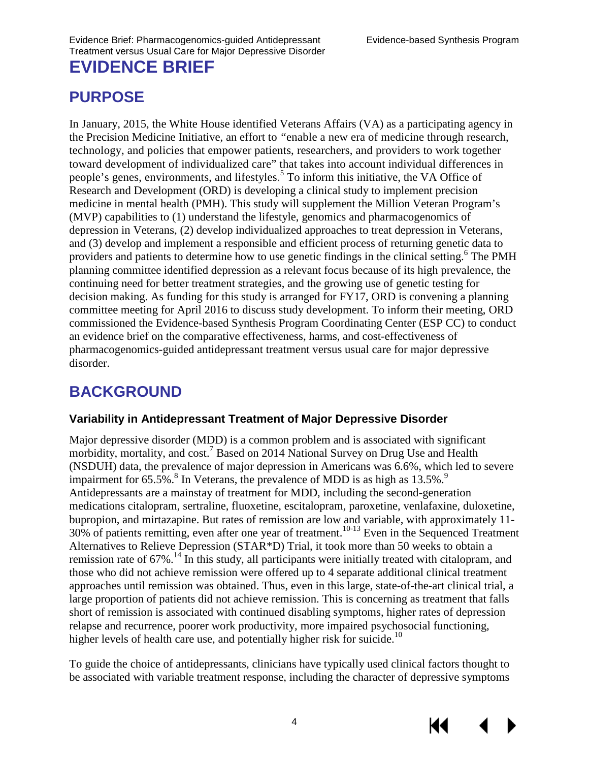# <span id="page-6-1"></span><span id="page-6-0"></span>**PURPOSE**

In January, 2015, the White House identified Veterans Affairs (VA) as a participating agency in the Precision Medicine Initiative, an effort to *"*enable a new era of medicine through research, technology, and policies that empower patients, researchers, and providers to work together toward development of individualized care" that takes into account individual differences in people's genes, environments, and lifestyles.<sup>[5](#page-29-5)</sup> To inform this initiative, the VA Office of Research and Development (ORD) is developing a clinical study to implement precision medicine in mental health (PMH). This study will supplement the Million Veteran Program's (MVP) capabilities to (1) understand the lifestyle, genomics and pharmacogenomics of depression in Veterans, (2) develop individualized approaches to treat depression in Veterans, and (3) develop and implement a responsible and efficient process of returning genetic data to providers and patients to determine how to use genetic findings in the clinical setting.<sup>6</sup> The PMH planning committee identified depression as a relevant focus because of its high prevalence, the continuing need for better treatment strategies, and the growing use of genetic testing for decision making. As funding for this study is arranged for FY17, ORD is convening a planning committee meeting for April 2016 to discuss study development. To inform their meeting, ORD commissioned the Evidence-based Synthesis Program Coordinating Center (ESP CC) to conduct an evidence brief on the comparative effectiveness, harms, and cost-effectiveness of pharmacogenomics-guided antidepressant treatment versus usual care for major depressive disorder.

# <span id="page-6-2"></span>**BACKGROUND**

#### **Variability in Antidepressant Treatment of Major Depressive Disorder**

Major depressive disorder (MDD) is a common problem and is associated with significant morbidity, mortality, and cost.<sup>7</sup> Based on 2014 National Survey on Drug Use and Health (NSDUH) data, the prevalence of major depression in Americans was 6.6%, which led to severe impairment for  $65.5\%$ .<sup>[8](#page-29-8)</sup> In Veterans, the prevalence of MDD is as high as  $13.5\%$ .<sup>9</sup> Antidepressants are a mainstay of treatment for MDD, including the second-generation medications citalopram, sertraline, fluoxetine, escitalopram, paroxetine, venlafaxine, duloxetine, bupropion, and mirtazapine. But rates of remission are low and variable, with approximately 11- 30% of patients remitting, even after one year of treatment.<sup>[10-13](#page-29-10)</sup> Even in the Sequenced Treatment Alternatives to Relieve Depression (STAR\*D) Trial, it took more than 50 weeks to obtain a remission rate of 67%.<sup>14</sup> In this study, all participants were initially treated with citalopram, and those who did not achieve remission were offered up to 4 separate additional clinical treatment approaches until remission was obtained. Thus, even in this large, state-of-the-art clinical trial, a large proportion of patients did not achieve remission. This is concerning as treatment that falls short of remission is associated with continued disabling symptoms, higher rates of depression relapse and recurrence, poorer work productivity, more impaired psychosocial functioning, higher levels of health care use, and potentially higher risk for suicide.<sup>10</sup>

To guide the choice of antidepressants, clinicians have typically used clinical factors thought to be associated with variable treatment response, including the character of depressive symptoms

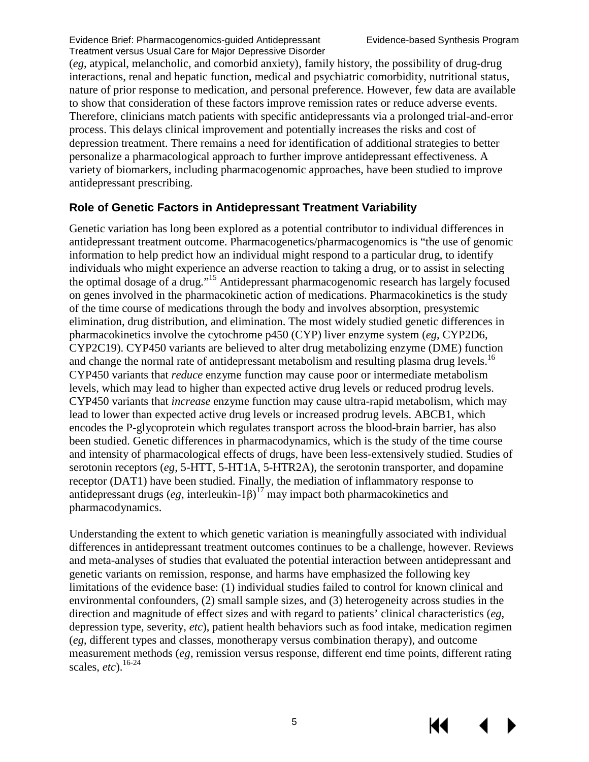(*eg*, atypical, melancholic, and comorbid anxiety), family history, the possibility of drug-drug interactions, renal and hepatic function, medical and psychiatric comorbidity, nutritional status, nature of prior response to medication, and personal preference. However, few data are available to show that consideration of these factors improve remission rates or reduce adverse events. Therefore, clinicians match patients with specific antidepressants via a prolonged trial-and-error process. This delays clinical improvement and potentially increases the risks and cost of depression treatment. There remains a need for identification of additional strategies to better personalize a pharmacological approach to further improve antidepressant effectiveness. A variety of biomarkers, including pharmacogenomic approaches, have been studied to improve antidepressant prescribing.

#### **Role of Genetic Factors in Antidepressant Treatment Variability**

Genetic variation has long been explored as a potential contributor to individual differences in antidepressant treatment outcome. Pharmacogenetics/pharmacogenomics is "the use of genomic information to help predict how an individual might respond to a particular drug, to identify individuals who might experience an adverse reaction to taking a drug, or to assist in selecting the optimal dosage of a drug.["15](#page-29-12) Antidepressant pharmacogenomic research has largely focused on genes involved in the pharmacokinetic action of medications. Pharmacokinetics is the study of the time course of medications through the body and involves absorption, presystemic elimination, drug distribution, and elimination. The most widely studied genetic differences in pharmacokinetics involve the cytochrome p450 (CYP) liver enzyme system (*eg*, CYP2D6, CYP2C19). CYP450 variants are believed to alter drug metabolizing enzyme (DME) function and change the normal rate of antidepressant metabolism and resulting plasma drug levels.<sup>16</sup> CYP450 variants that *reduce* enzyme function may cause poor or intermediate metabolism levels, which may lead to higher than expected active drug levels or reduced prodrug levels. CYP450 variants that *increase* enzyme function may cause ultra-rapid metabolism, which may lead to lower than expected active drug levels or increased prodrug levels. ABCB1, which encodes the P-glycoprotein which regulates transport across the blood-brain barrier, has also been studied. Genetic differences in pharmacodynamics, which is the study of the time course and intensity of pharmacological effects of drugs, have been less-extensively studied. Studies of serotonin receptors (*eg*, 5-HTT, 5-HT1A, 5-HTR2A), the serotonin transporter, and dopamine receptor (DAT1) have been studied. Finally, the mediation of inflammatory response to antidepressant drugs  $(eg, \text{interleukin-1}\beta)^{17}$  $(eg, \text{interleukin-1}\beta)^{17}$  $(eg, \text{interleukin-1}\beta)^{17}$  may impact both pharmacokinetics and pharmacodynamics.

Understanding the extent to which genetic variation is meaningfully associated with individual differences in antidepressant treatment outcomes continues to be a challenge, however. Reviews and meta-analyses of studies that evaluated the potential interaction between antidepressant and genetic variants on remission, response, and harms have emphasized the following key limitations of the evidence base: (1) individual studies failed to control for known clinical and environmental confounders, (2) small sample sizes, and (3) heterogeneity across studies in the direction and magnitude of effect sizes and with regard to patients' clinical characteristics (*eg*, depression type, severity, *etc*), patient health behaviors such as food intake, medication regimen (*eg*, different types and classes, monotherapy versus combination therapy), and outcome measurement methods (*eg*, remission versus response, different end time points, different rating scales, *etc*).[16-24](#page-30-0)

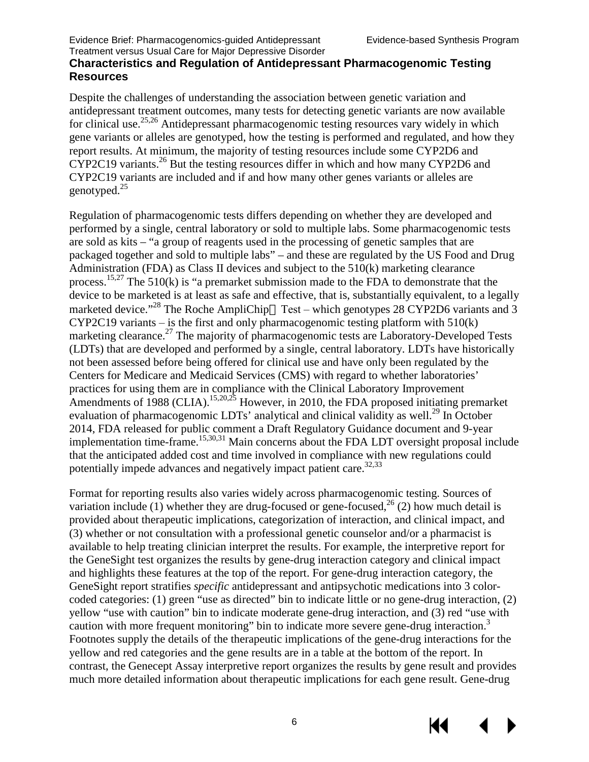#### **Characteristics and Regulation of Antidepressant Pharmacogenomic Testing Resources**

Despite the challenges of understanding the association between genetic variation and antidepressant treatment outcomes, many tests for detecting genetic variants are now available for clinical use.<sup>25,[26](#page-30-3)</sup> Antidepressant pharmacogenomic testing resources vary widely in which gene variants or alleles are genotyped, how the testing is performed and regulated, and how they report results. At minimum, the majority of testing resources include some CYP2D6 and CYP2C19 variants.<sup>[26](#page-30-3)</sup> But the testing resources differ in which and how many CYP2D6 and CYP2C19 variants are included and if and how many other genes variants or alleles are genotyped[.25](#page-30-2)

Regulation of pharmacogenomic tests differs depending on whether they are developed and performed by a single, central laboratory or sold to multiple labs. Some pharmacogenomic tests are sold as kits – "a group of reagents used in the processing of genetic samples that are packaged together and sold to multiple labs" – and these are regulated by the US Food and Drug Administration (FDA) as Class II devices and subject to the 510(k) marketing clearance process.<sup>15[,27](#page-30-4)</sup> The 510(k) is "a premarket submission made to the FDA to demonstrate that the device to be marketed is at least as safe and effective, that is, substantially equivalent, to a legally marketed device."<sup>28</sup> The Roche AmpliChip $\dot{O}$  Test – which genotypes 28 CYP2D6 variants and 3 CYP2C19 variants – is the first and only pharmacogenomic testing platform with  $510(k)$ marketing clearance.<sup>[27](#page-30-4)</sup> The majority of pharmacogenomic tests are Laboratory-Developed Tests (LDTs) that are developed and performed by a single, central laboratory. LDTs have historically not been assessed before being offered for clinical use and have only been regulated by the Centers for Medicare and Medicaid Services (CMS) with regard to whether laboratories' practices for using them are in compliance with the Clinical Laboratory Improvement Amendments of 1988 (CLIA).<sup>[15](#page-29-12)[,20](#page-30-6)[,25](#page-30-2)</sup> However, in 2010, the FDA proposed initiating premarket evaluation of pharmacogenomic LDTs' analytical and clinical validity as well.<sup>[29](#page-30-7)</sup> In October 2014, FDA released for public comment a Draft Regulatory Guidance document and 9-year implementation time-frame.<sup>[15,](#page-29-12)[30,](#page-30-8)[31](#page-30-9)</sup> Main concerns about the FDA LDT oversight proposal include that the anticipated added cost and time involved in compliance with new regulations could potentially impede advances and negatively impact patient care.<sup>32[,33](#page-31-0)</sup>

Format for reporting results also varies widely across pharmacogenomic testing. Sources of variation include (1) whether they are drug-focused or gene-focused,  $^{26}$  $^{26}$  $^{26}$  (2) how much detail is provided about therapeutic implications, categorization of interaction, and clinical impact, and (3) whether or not consultation with a professional genetic counselor and/or a pharmacist is available to help treating clinician interpret the results. For example, the interpretive report for the GeneSight test organizes the results by gene-drug interaction category and clinical impact and highlights these features at the top of the report. For gene-drug interaction category, the GeneSight report stratifies *specific* antidepressant and antipsychotic medications into 3 colorcoded categories: (1) green "use as directed" bin to indicate little or no gene-drug interaction, (2) yellow "use with caution" bin to indicate moderate gene-drug interaction, and (3) red "use with caution with more frequent monitoring" bin to indicate more severe gene-drug interaction.<sup>3</sup> Footnotes supply the details of the therapeutic implications of the gene-drug interactions for the yellow and red categories and the gene results are in a table at the bottom of the report. In contrast, the Genecept Assay interpretive report organizes the results by gene result and provides much more detailed information about therapeutic implications for each gene result. Gene-drug

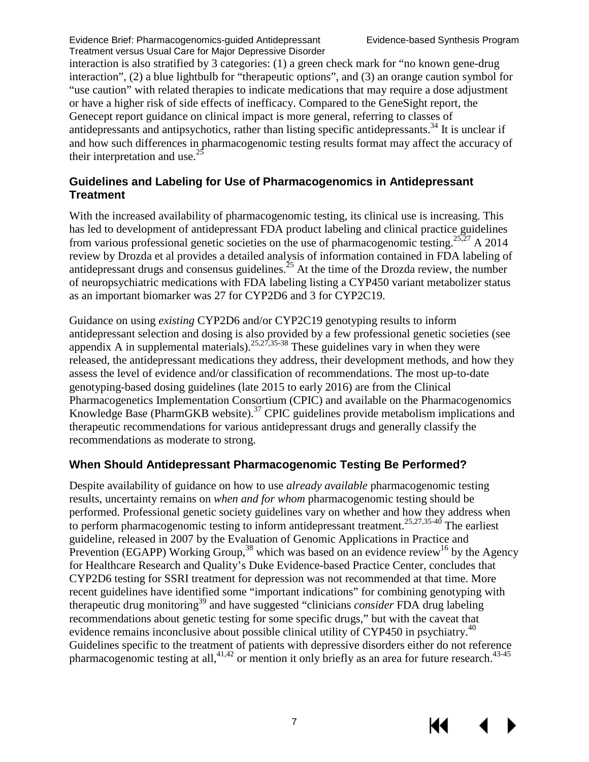interaction is also stratified by 3 categories: (1) a green check mark for "no known gene-drug interaction", (2) a blue lightbulb for "therapeutic options", and (3) an orange caution symbol for "use caution" with related therapies to indicate medications that may require a dose adjustment or have a higher risk of side effects of inefficacy. Compared to the GeneSight report, the Genecept report guidance on clinical impact is more general, referring to classes of antidepressants and antipsychotics, rather than listing specific antidepressants.<sup>[34](#page-31-1)</sup> It is unclear if and how such differences in pharmacogenomic testing results format may affect the accuracy of their interpretation and use. $^{25}$ 

#### **Guidelines and Labeling for Use of Pharmacogenomics in Antidepressant Treatment**

With the increased availability of pharmacogenomic testing, its clinical use is increasing. This has led to development of antidepressant FDA product labeling and clinical practice guidelines from various professional genetic societies on the use of pharmacogenomic testing.<sup>[25,](#page-30-2)[27](#page-30-4)</sup> A 2014 review by Drozda et al provides a detailed analysis of information contained in FDA labeling of antidepressant drugs and consensus guidelines. $^{25}$  $^{25}$  $^{25}$  At the time of the Drozda review, the number of neuropsychiatric medications with FDA labeling listing a CYP450 variant metabolizer status as an important biomarker was 27 for CYP2D6 and 3 for CYP2C19.

Guidance on using *existing* CYP2D6 and/or CYP2C19 genotyping results to inform antidepressant selection and dosing is also provided by a few professional genetic societies (see appendix A in supplemental materials).  $25,27,35-38$  $25,27,35-38$  $25,27,35-38$  These guidelines vary in when they were released, the antidepressant medications they address, their development methods, and how they assess the level of evidence and/or classification of recommendations. The most up-to-date genotyping-based dosing guidelines (late 2015 to early 2016) are from the Clinical Pharmacogenetics Implementation Consortium (CPIC) and available on the Pharmacogenomics Knowledge Base (PharmGKB website).<sup>[37](#page-31-3)</sup> CPIC guidelines provide metabolism implications and therapeutic recommendations for various antidepressant drugs and generally classify the recommendations as moderate to strong.

## **When Should Antidepressant Pharmacogenomic Testing Be Performed?**

Despite availability of guidance on how to use *already available* pharmacogenomic testing results, uncertainty remains on *when and for whom* pharmacogenomic testing should be performed. Professional genetic society guidelines vary on whether and how they address when to perform pharmacogenomic testing to inform antidepressant treatment.<sup>[25,](#page-30-2)[27,](#page-30-4)[35-40](#page-31-2)</sup> The earliest guideline, released in 2007 by the Evaluation of Genomic Applications in Practice and Prevention (EGAPP) Working Group,<sup>38</sup> which was based on an evidence review<sup>16</sup> by the Agency for Healthcare Research and Quality's Duke Evidence-based Practice Center, concludes that CYP2D6 testing for SSRI treatment for depression was not recommended at that time. More recent guidelines have identified some "important indications" for combining genotyping with therapeutic drug monitorin[g39](#page-31-5) and have suggested "clinicians *consider* FDA drug labeling recommendations about genetic testing for some specific drugs," but with the caveat that evidence remains inconclusive about possible clinical utility of CYP450 in psychiatry.<sup>40</sup> Guidelines specific to the treatment of patients with depressive disorders either do not reference pharmacogenomic testing at all,<sup>[41,](#page-31-7)[42](#page-31-8)</sup> or mention it only briefly as an area for future research.<sup>43-45</sup>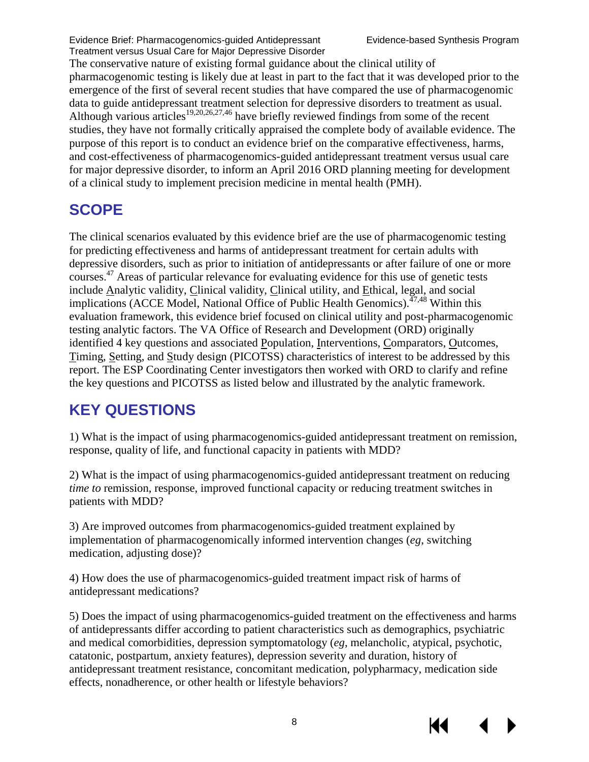The conservative nature of existing formal guidance about the clinical utility of pharmacogenomic testing is likely due at least in part to the fact that it was developed prior to the emergence of the first of several recent studies that have compared the use of pharmacogenomic data to guide antidepressant treatment selection for depressive disorders to treatment as usual. Although various articles<sup>[19,](#page-30-11)[20,](#page-30-6)[26,](#page-30-3)[27,](#page-30-4)[46](#page-31-10)</sup> have briefly reviewed findings from some of the recent studies, they have not formally critically appraised the complete body of available evidence. The purpose of this report is to conduct an evidence brief on the comparative effectiveness, harms, and cost-effectiveness of pharmacogenomics-guided antidepressant treatment versus usual care for major depressive disorder, to inform an April 2016 ORD planning meeting for development of a clinical study to implement precision medicine in mental health (PMH).

# <span id="page-10-0"></span>**SCOPE**

The clinical scenarios evaluated by this evidence brief are the use of pharmacogenomic testing for predicting effectiveness and harms of antidepressant treatment for certain adults with depressive disorders, such as prior to initiation of antidepressants or after failure of one or more courses. [47](#page-32-0) Areas of particular relevance for evaluating evidence for this use of genetic tests include Analytic validity, Clinical validity, Clinical utility, and Ethical, legal, and social implications (ACCE Model, National Office of Public Health Genomics).<sup> $47,48$  $47,48$ </sup> Within this evaluation framework, this evidence brief focused on clinical utility and post-pharmacogenomic testing analytic factors. The VA Office of Research and Development (ORD) originally identified 4 key questions and associated Population, Interventions, Comparators, Outcomes, Timing, Setting, and Study design (PICOTSS) characteristics of interest to be addressed by this report. The ESP Coordinating Center investigators then worked with ORD to clarify and refine the key questions and PICOTSS as listed below and illustrated by the analytic framework.

# <span id="page-10-1"></span>**KEY QUESTIONS**

1) What is the impact of using pharmacogenomics-guided antidepressant treatment on remission, response, quality of life, and functional capacity in patients with MDD?

2) What is the impact of using pharmacogenomics-guided antidepressant treatment on reducing *time to* remission, response, improved functional capacity or reducing treatment switches in patients with MDD?

3) Are improved outcomes from pharmacogenomics-guided treatment explained by implementation of pharmacogenomically informed intervention changes (*eg*, switching medication, adjusting dose)?

4) How does the use of pharmacogenomics-guided treatment impact risk of harms of antidepressant medications?

5) Does the impact of using pharmacogenomics-guided treatment on the effectiveness and harms of antidepressants differ according to patient characteristics such as demographics, psychiatric and medical comorbidities, depression symptomatology (*eg*, melancholic, atypical, psychotic, catatonic, postpartum, anxiety features), depression severity and duration, history of antidepressant treatment resistance, concomitant medication, polypharmacy, medication side effects, nonadherence, or other health or lifestyle behaviors?

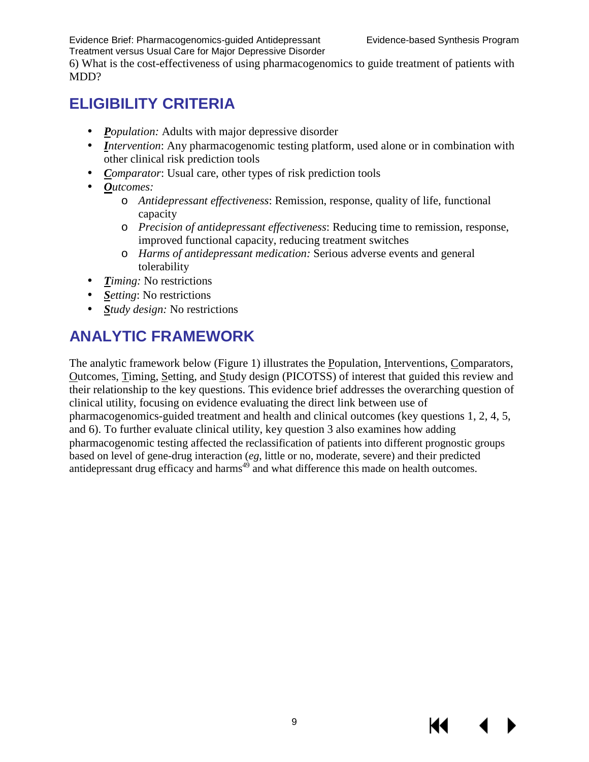KI

6) What is the cost-effectiveness of using pharmacogenomics to guide treatment of patients with MDD?

# <span id="page-11-0"></span>**ELIGIBILITY CRITERIA**

- *Population:* Adults with major depressive disorder
- *Intervention*: Any pharmacogenomic testing platform, used alone or in combination with other clinical risk prediction tools
- *Comparator*: Usual care, other types of risk prediction tools
- *Outcomes:*
	- o *Antidepressant effectiveness*: Remission, response, quality of life, functional capacity
	- o *Precision of antidepressant effectiveness*: Reducing time to remission, response, improved functional capacity, reducing treatment switches
	- o *Harms of antidepressant medication:* Serious adverse events and general tolerability
- *Timing:* No restrictions
- *Setting*: No restrictions
- *Study design:* No restrictions

# <span id="page-11-1"></span>**ANALYTIC FRAMEWORK**

The analytic framework below (Figure 1) illustrates the Population, Interventions, Comparators, Outcomes, Timing, Setting, and Study design (PICOTSS) of interest that guided this review and their relationship to the key questions. This evidence brief addresses the overarching question of clinical utility, focusing on evidence evaluating the direct link between use of pharmacogenomics-guided treatment and health and clinical outcomes (key questions 1, 2, 4, 5, and 6). To further evaluate clinical utility, key question 3 also examines how adding pharmacogenomic testing affected the reclassification of patients into different prognostic groups based on level of gene-drug interaction (*eg*, little or no, moderate, severe) and their predicted antidepressant drug efficacy and harms<sup>49</sup> and what difference this made on health outcomes.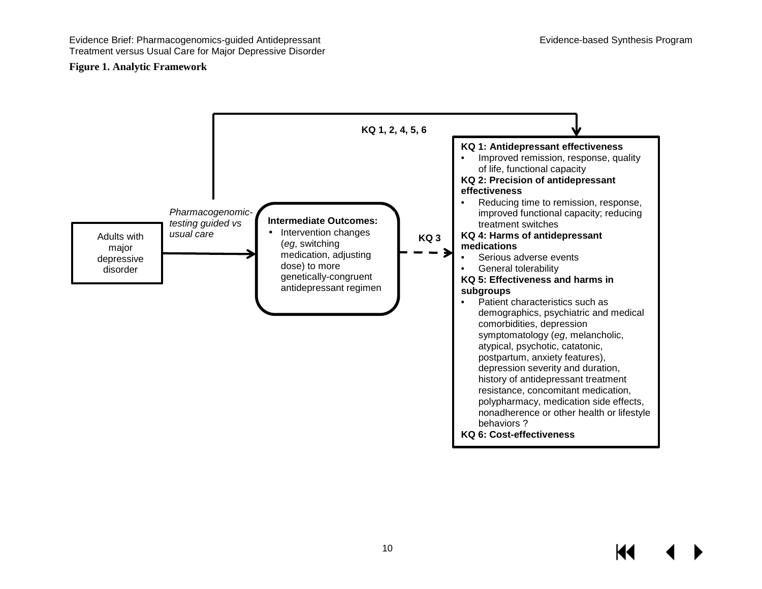#### **Figure 1. Analytic Framework**

<span id="page-12-0"></span>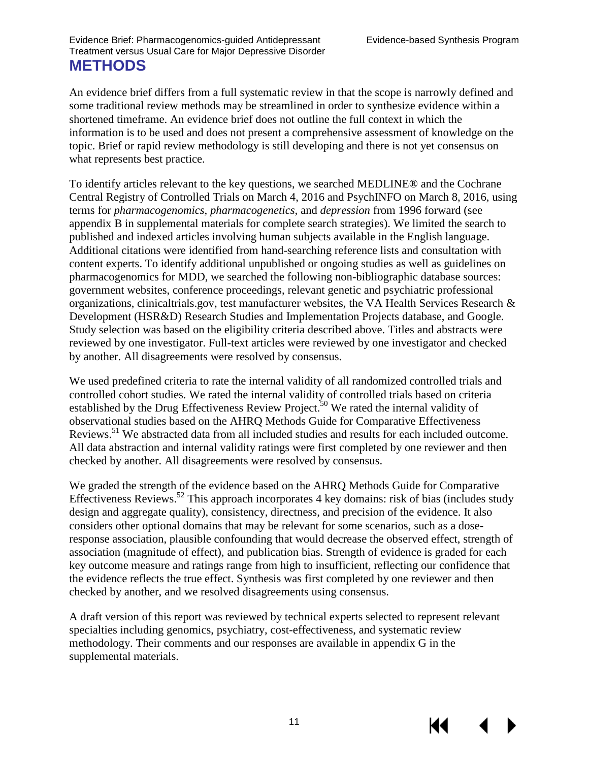<span id="page-13-0"></span>An evidence brief differs from a full systematic review in that the scope is narrowly defined and some traditional review methods may be streamlined in order to synthesize evidence within a shortened timeframe. An evidence brief does not outline the full context in which the information is to be used and does not present a comprehensive assessment of knowledge on the topic. Brief or rapid review methodology is still developing and there is not yet consensus on what represents best practice.

To identify articles relevant to the key questions, we searched MEDLINE® and the Cochrane Central Registry of Controlled Trials on March 4, 2016 and PsychINFO on March 8, 2016, using terms for *pharmacogenomics, pharmacogenetics,* and *depression* from 1996 forward (see appendix B in supplemental materials for complete search strategies). We limited the search to published and indexed articles involving human subjects available in the English language. Additional citations were identified from hand-searching reference lists and consultation with content experts. To identify additional unpublished or ongoing studies as well as guidelines on pharmacogenomics for MDD, we searched the following non-bibliographic database sources: government websites, conference proceedings, relevant genetic and psychiatric professional organizations, clinicaltrials.gov, test manufacturer websites, the VA Health Services Research & Development (HSR&D) Research Studies and Implementation Projects database, and Google. Study selection was based on the eligibility criteria described above. Titles and abstracts were reviewed by one investigator. Full-text articles were reviewed by one investigator and checked by another. All disagreements were resolved by consensus.

We used predefined criteria to rate the internal validity of all randomized controlled trials and controlled cohort studies. We rated the internal validity of controlled trials based on criteria established by the Drug Effectiveness Review Project.<sup>[50](#page-32-3)</sup> We rated the internal validity of observational studies based on the AHRQ Methods Guide for Comparative Effectiveness Reviews[.51](#page-32-4) We abstracted data from all included studies and results for each included outcome. All data abstraction and internal validity ratings were first completed by one reviewer and then checked by another. All disagreements were resolved by consensus.

We graded the strength of the evidence based on the AHRQ Methods Guide for Comparative Effectiveness Reviews.<sup>[52](#page-32-5)</sup> This approach incorporates 4 key domains: risk of bias (includes study design and aggregate quality), consistency, directness, and precision of the evidence. It also considers other optional domains that may be relevant for some scenarios, such as a doseresponse association, plausible confounding that would decrease the observed effect, strength of association (magnitude of effect), and publication bias. Strength of evidence is graded for each key outcome measure and ratings range from high to insufficient, reflecting our confidence that the evidence reflects the true effect. Synthesis was first completed by one reviewer and then checked by another, and we resolved disagreements using consensus.

A draft version of this report was reviewed by technical experts selected to represent relevant specialties including genomics, psychiatry, cost-effectiveness, and systematic review methodology. Their comments and our responses are available in appendix G in the supplemental materials.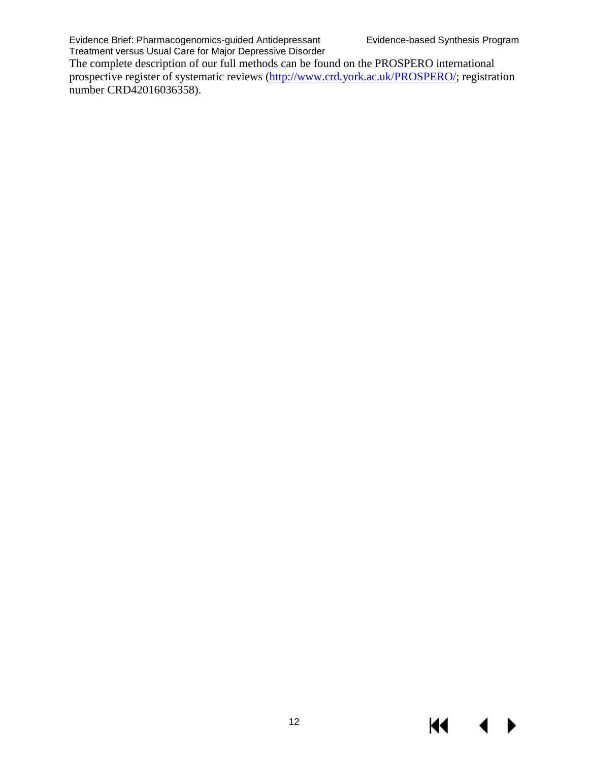KI

▶

The complete description of our full methods can be found on the PROSPERO international prospective register of systematic reviews [\(http://www.crd.york.ac.uk/PROSPERO/;](http://www.crd.york.ac.uk/PROSPERO/) registration number CRD42016036358).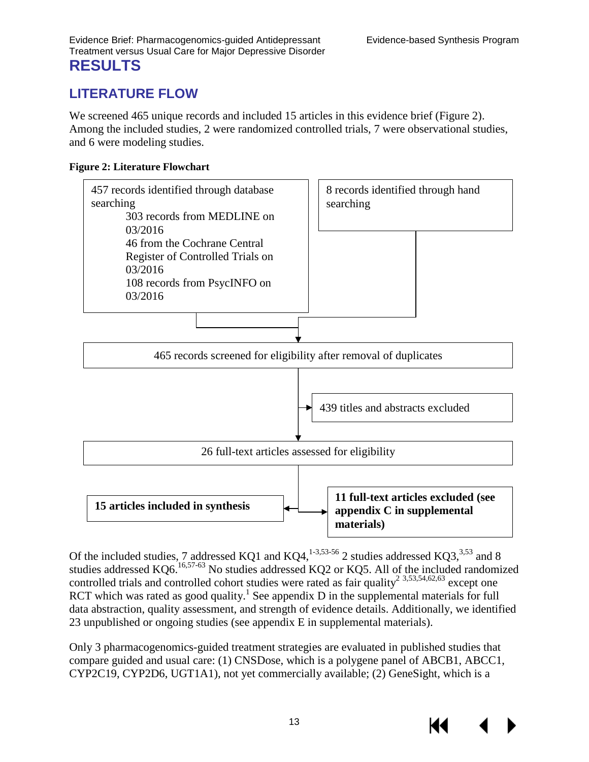# <span id="page-15-1"></span><span id="page-15-0"></span>**LITERATURE FLOW**

We screened 465 unique records and included 15 articles in this evidence brief (Figure 2). Among the included studies, 2 were randomized controlled trials, 7 were observational studies, and 6 were modeling studies.

#### <span id="page-15-2"></span>**Figure 2: Literature Flowchart**



Of the included studies, 7 addressed KQ1 and KQ4,<sup>[1-3](#page-29-1),53-56</sup> 2 studies addressed KQ3,<sup>3,53</sup> and 8 studies addressed KQ6.<sup>[16,](#page-30-0)57-63</sup> No studies addressed KQ2 or KQ5. All of the included randomized controlled trials and controlled cohort studies were rated as fair quality<sup>2</sup>  $3,53,54,62,63$  $3,53,54,62,63$  $3,53,54,62,63$  $3,53,54,62,63$  $3,53,54,62,63$  except one RCT which was rated as good quality[.](#page-29-1)<sup>1</sup> See appendix  $D$  in the supplemental materials for full data abstraction, quality assessment, and strength of evidence details. Additionally, we identified 23 unpublished or ongoing studies (see appendix E in supplemental materials).

Only 3 pharmacogenomics-guided treatment strategies are evaluated in published studies that compare guided and usual care: (1) CNSDose, which is a polygene panel of ABCB1, ABCC1, CYP2C19, CYP2D6, UGT1A1), not yet commercially available; (2) GeneSight, which is a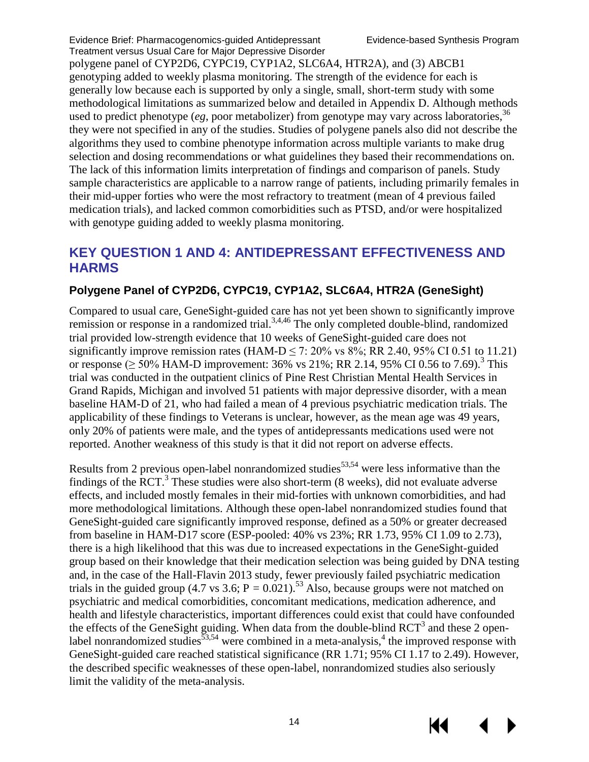polygene panel of CYP2D6, CYPC19, CYP1A2, SLC6A4, HTR2A), and (3) ABCB1 genotyping added to weekly plasma monitoring. The strength of the evidence for each is generally low because each is supported by only a single, small, short-term study with some methodological limitations as summarized below and detailed in Appendix D. Although methods used to predict phenotype (*eg*, poor metabolizer) from genotype may vary across laboratories,  $36$ they were not specified in any of the studies. Studies of polygene panels also did not describe the algorithms they used to combine phenotype information across multiple variants to make drug selection and dosing recommendations or what guidelines they based their recommendations on. The lack of this information limits interpretation of findings and comparison of panels. Study sample characteristics are applicable to a narrow range of patients, including primarily females in their mid-upper forties who were the most refractory to treatment (mean of 4 previous failed medication trials), and lacked common comorbidities such as PTSD, and/or were hospitalized with genotype guiding added to weekly plasma monitoring.

# <span id="page-16-0"></span>**KEY QUESTION 1 AND 4: ANTIDEPRESSANT EFFECTIVENESS AND HARMS**

#### **Polygene Panel of CYP2D6, CYPC19, CYP1A2, SLC6A4, HTR2A (GeneSight)**

Compared to usual care, GeneSight-guided care has not yet been shown to significantly improve remission or response in a randomized trial.<sup>[3,](#page-29-3)[4,](#page-29-4)[46](#page-31-10)</sup> The only completed double-blind, randomized trial provided low-strength evidence that 10 weeks of GeneSight-guided care does not significantly improve remission rates (HAM-D  $\leq$  7: 20% vs 8%; RR 2.40, 95% CI 0.51 to 11.21) or response ( $\geq 50\%$  HAM-D improvement: [3](#page-29-3)6% vs 21%; RR 2.14, 95% CI 0.56 to 7.69).<sup>3</sup> This trial was conducted in the outpatient clinics of Pine Rest Christian Mental Health Services in Grand Rapids, Michigan and involved 51 patients with major depressive disorder, with a mean baseline HAM-D of 21, who had failed a mean of 4 previous psychiatric medication trials. The applicability of these findings to Veterans is unclear, however, as the mean age was 49 years, only 20% of patients were male, and the types of antidepressants medications used were not reported. Another weakness of this study is that it did not report on adverse effects.

Results from 2 previous open-label nonrandomized studies<sup>[53,](#page-32-6)[54](#page-32-8)</sup> were less informative than the findings of the RCT.<sup>[3](#page-29-3)</sup> These studies were also short-term  $(8 \text{ weeks})$ , did not evaluate adverse effects, and included mostly females in their mid-forties with unknown comorbidities, and had more methodological limitations. Although these open-label nonrandomized studies found that GeneSight-guided care significantly improved response, defined as a 50% or greater decreased from baseline in HAM-D17 score (ESP-pooled: 40% vs 23%; RR 1.73, 95% CI 1.09 to 2.73), there is a high likelihood that this was due to increased expectations in the GeneSight-guided group based on their knowledge that their medication selection was being guided by DNA testing and, in the case of the Hall-Flavin 2013 study, fewer previously failed psychiatric medication trials in the guided group (4.7 vs 3.6;  $P = 0.021$ ).<sup>53</sup> Also, because groups were not matched on psychiatric and medical comorbidities, concomitant medications, medication adherence, and health and lifestyle characteristics, important differences could exist that could have confounded the effects of the GeneSight guiding. When data from the double-blind RCT<sup>3</sup> and these 2 open-label nonrandomized studies<sup>[53,](#page-32-6)[54](#page-32-8)</sup> were combined in a meta-analysis,<sup>4</sup> the improved response with GeneSight-guided care reached statistical significance (RR 1.71; 95% CI 1.17 to 2.49). However, the described specific weaknesses of these open-label, nonrandomized studies also seriously limit the validity of the meta-analysis.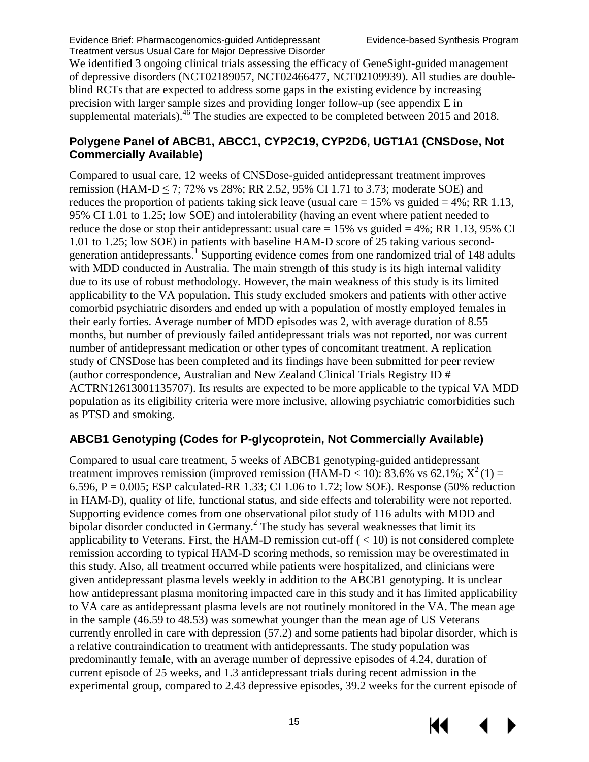We identified 3 ongoing clinical trials assessing the efficacy of GeneSight-guided management of depressive disorders (NCT02189057, NCT02466477, NCT02109939). All studies are doubleblind RCTs that are expected to address some gaps in the existing evidence by increasing precision with larger sample sizes and providing longer follow-up (see appendix E in supplemental materials). $46$  The studies are expected to be completed between 2015 and 2018.

#### **Polygene Panel of ABCB1, ABCC1, CYP2C19, CYP2D6, UGT1A1 (CNSDose, Not Commercially Available)**

Compared to usual care, 12 weeks of CNSDose-guided antidepressant treatment improves remission (HAM-D  $\leq$  7; 72% vs 28%; RR 2.52, 95% CI 1.71 to 3.73; moderate SOE) and reduces the proportion of patients taking sick leave (usual care  $= 15\%$  vs guided  $= 4\%$ ; RR 1.13, 95% CI 1.01 to 1.25; low SOE) and intolerability (having an event where patient needed to reduce the dose or stop their antidepressant: usual care  $= 15\%$  vs guided  $= 4\%$ : RR 1.13, 95% CI 1.01 to 1.25; low SOE) in patients with baseline HAM-D score of 25 taking various second-generation antidepressants.<sup>[1](#page-29-1)</sup> Supporting evidence comes from one randomized trial of 148 adults with MDD conducted in Australia. The main strength of this study is its high internal validity due to its use of robust methodology. However, the main weakness of this study is its limited applicability to the VA population. This study excluded smokers and patients with other active comorbid psychiatric disorders and ended up with a population of mostly employed females in their early forties. Average number of MDD episodes was 2, with average duration of 8.55 months, but number of previously failed antidepressant trials was not reported, nor was current number of antidepressant medication or other types of concomitant treatment. A replication study of CNSDose has been completed and its findings have been submitted for peer review (author correspondence, Australian and New Zealand Clinical Trials Registry ID # ACTRN12613001135707). Its results are expected to be more applicable to the typical VA MDD population as its eligibility criteria were more inclusive, allowing psychiatric comorbidities such as PTSD and smoking.

# **ABCB1 Genotyping (Codes for P-glycoprotein, Not Commercially Available)**

Compared to usual care treatment, 5 weeks of ABCB1 genotyping-guided antidepressant treatment improves remission (improved remission (HAM-D < 10): 83.6% vs 62.1%;  $X^2(1)$  = 6.596,  $P = 0.005$ ; ESP calculated-RR 1.33; CI 1.06 to 1.72; low SOE). Response (50% reduction in HAM-D), quality of life, functional status, and side effects and tolerability were not reported. Supporting evidence comes from one observational pilot study of 116 adults with MDD and bipolar disorder conducted in Germany.<sup>2</sup> The study has several weaknesses that limit its applicability to Veterans. First, the HAM-D remission cut-off  $(< 10$ ) is not considered complete remission according to typical HAM-D scoring methods, so remission may be overestimated in this study. Also, all treatment occurred while patients were hospitalized, and clinicians were given antidepressant plasma levels weekly in addition to the ABCB1 genotyping. It is unclear how antidepressant plasma monitoring impacted care in this study and it has limited applicability to VA care as antidepressant plasma levels are not routinely monitored in the VA. The mean age in the sample (46.59 to 48.53) was somewhat younger than the mean age of US Veterans currently enrolled in care with depression (57.2) and some patients had bipolar disorder, which is a relative contraindication to treatment with antidepressants. The study population was predominantly female, with an average number of depressive episodes of 4.24, duration of current episode of 25 weeks, and 1.3 antidepressant trials during recent admission in the experimental group, compared to 2.43 depressive episodes, 39.2 weeks for the current episode of

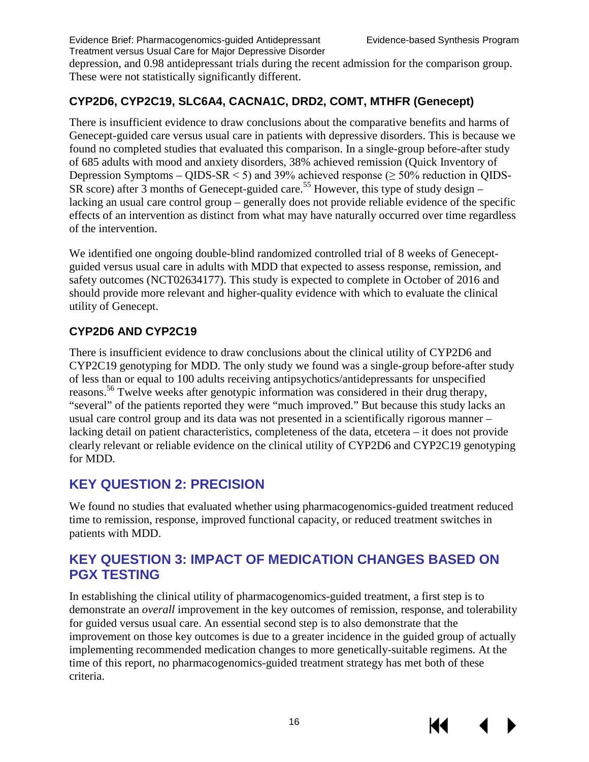depression, and 0.98 antidepressant trials during the recent admission for the comparison group. These were not statistically significantly different.

## **CYP2D6, CYP2C19, SLC6A4, CACNA1C, DRD2, COMT, MTHFR (Genecept)**

There is insufficient evidence to draw conclusions about the comparative benefits and harms of Genecept-guided care versus usual care in patients with depressive disorders. This is because we found no completed studies that evaluated this comparison. In a single-group before-after study of 685 adults with mood and anxiety disorders, 38% achieved remission (Quick Inventory of Depression Symptoms –  $OIDS-SR < 5$ ) and 39% achieved response ( $> 50\%$  reduction in OIDS- $S_{\rm R}$  score) after 3 months of Genecept-guided care.<sup>[55](#page-32-9)</sup> However, this type of study design – lacking an usual care control group – generally does not provide reliable evidence of the specific effects of an intervention as distinct from what may have naturally occurred over time regardless of the intervention.

We identified one ongoing double-blind randomized controlled trial of 8 weeks of Geneceptguided versus usual care in adults with MDD that expected to assess response, remission, and safety outcomes (NCT02634177). This study is expected to complete in October of 2016 and should provide more relevant and higher-quality evidence with which to evaluate the clinical utility of Genecept.

## **CYP2D6 AND CYP2C19**

There is insufficient evidence to draw conclusions about the clinical utility of CYP2D6 and CYP2C19 genotyping for MDD. The only study we found was a single-group before-after study of less than or equal to 100 adults receiving antipsychotics/antidepressants for unspecified reasons[.56](#page-32-10) Twelve weeks after genotypic information was considered in their drug therapy, "several" of the patients reported they were "much improved." But because this study lacks an usual care control group and its data was not presented in a scientifically rigorous manner – lacking detail on patient characteristics, completeness of the data, etcetera – it does not provide clearly relevant or reliable evidence on the clinical utility of CYP2D6 and CYP2C19 genotyping for MDD.

# <span id="page-18-0"></span>**KEY QUESTION 2: PRECISION**

We found no studies that evaluated whether using pharmacogenomics-guided treatment reduced time to remission, response, improved functional capacity, or reduced treatment switches in patients with MDD.

# <span id="page-18-1"></span>**KEY QUESTION 3: IMPACT OF MEDICATION CHANGES BASED ON PGX TESTING**

In establishing the clinical utility of pharmacogenomics-guided treatment, a first step is to demonstrate an *overall* improvement in the key outcomes of remission, response, and tolerability for guided versus usual care. An essential second step is to also demonstrate that the improvement on those key outcomes is due to a greater incidence in the guided group of actually implementing recommended medication changes to more genetically-suitable regimens. At the time of this report, no pharmacogenomics-guided treatment strategy has met both of these criteria.

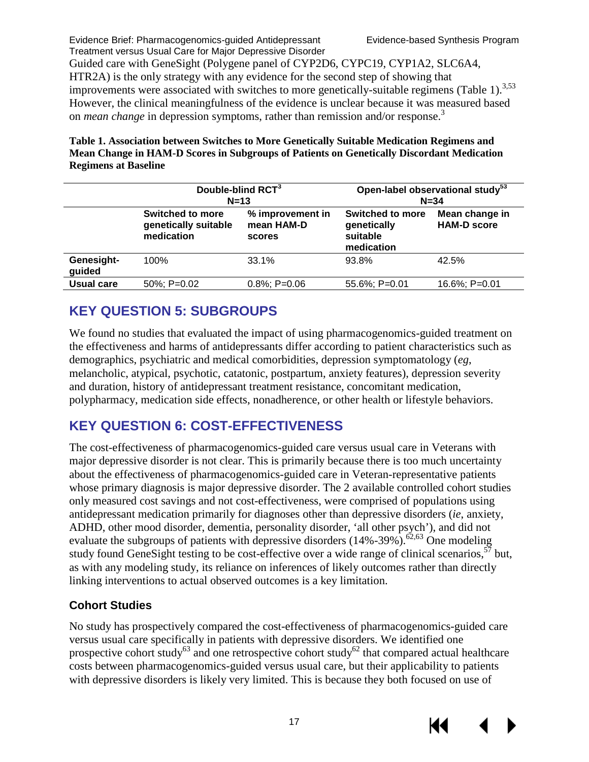Guided care with GeneSight (Polygene panel of CYP2D6, CYPC19, CYP1A2, SLC6A4, HTR2A) is the only strategy with any evidence for the second step of showing that improvements were associated with switches to more genetically-suitable regimens (Table 1).<sup>3[,53](#page-32-6)</sup> However, the clinical meaningfulness of the evidence is unclear because it was measured based on *mean change* in depression symptoms, rather than remission and/or response[.3](#page-29-3)

#### <span id="page-19-2"></span>**Table 1. Association between Switches to More Genetically Suitable Medication Regimens and Mean Change in HAM-D Scores in Subgroups of Patients on Genetically Discordant Medication Regimens at Baseline**

|                      | Double-blind RCT <sup>3</sup><br>$N=13$                       |                                          | Open-label observational study <sup>53</sup><br>$N = 34$         |                                      |  |
|----------------------|---------------------------------------------------------------|------------------------------------------|------------------------------------------------------------------|--------------------------------------|--|
|                      | <b>Switched to more</b><br>genetically suitable<br>medication | % improvement in<br>mean HAM-D<br>scores | <b>Switched to more</b><br>genetically<br>suitable<br>medication | Mean change in<br><b>HAM-D score</b> |  |
| Genesight-<br>guided | 100%                                                          | 33.1%                                    | 93.8%                                                            | 42.5%                                |  |
| <b>Usual care</b>    | 50%; P=0.02                                                   | $0.8\%; P=0.06$                          | $55.6\%$ ; P=0.01                                                | 16.6%; P=0.01                        |  |

# <span id="page-19-0"></span>**KEY QUESTION 5: SUBGROUPS**

We found no studies that evaluated the impact of using pharmacogenomics-guided treatment on the effectiveness and harms of antidepressants differ according to patient characteristics such as demographics, psychiatric and medical comorbidities, depression symptomatology (*eg*, melancholic, atypical, psychotic, catatonic, postpartum, anxiety features), depression severity and duration, history of antidepressant treatment resistance, concomitant medication, polypharmacy, medication side effects, nonadherence, or other health or lifestyle behaviors.

# <span id="page-19-1"></span>**KEY QUESTION 6: COST-EFFECTIVENESS**

The cost-effectiveness of pharmacogenomics-guided care versus usual care in Veterans with major depressive disorder is not clear. This is primarily because there is too much uncertainty about the effectiveness of pharmacogenomics-guided care in Veteran-representative patients whose primary diagnosis is major depressive disorder. The 2 available controlled cohort studies only measured cost savings and not cost-effectiveness, were comprised of populations using antidepressant medication primarily for diagnoses other than depressive disorders (*ie*, anxiety, ADHD, other mood disorder, dementia, personality disorder, 'all other psych'), and did not evaluate the subgroups of patients with depressive disorders  $(14\% - 39\%)$ .<sup>62,63</sup> One modeling study found GeneSight testing to be cost-effective over a wide range of clinical scenarios.<sup>57</sup> but, as with any modeling study, its reliance on inferences of likely outcomes rather than directly linking interventions to actual observed outcomes is a key limitation.

# **Cohort Studies**

No study has prospectively compared the cost-effectiveness of pharmacogenomics-guided care versus usual care specifically in patients with depressive disorders. We identified one prospective cohort study<sup>63</sup> and one retrospective cohort study<sup>62</sup> that compared actual healthcare costs between pharmacogenomics-guided versus usual care, but their applicability to patients with depressive disorders is likely very limited. This is because they both focused on use of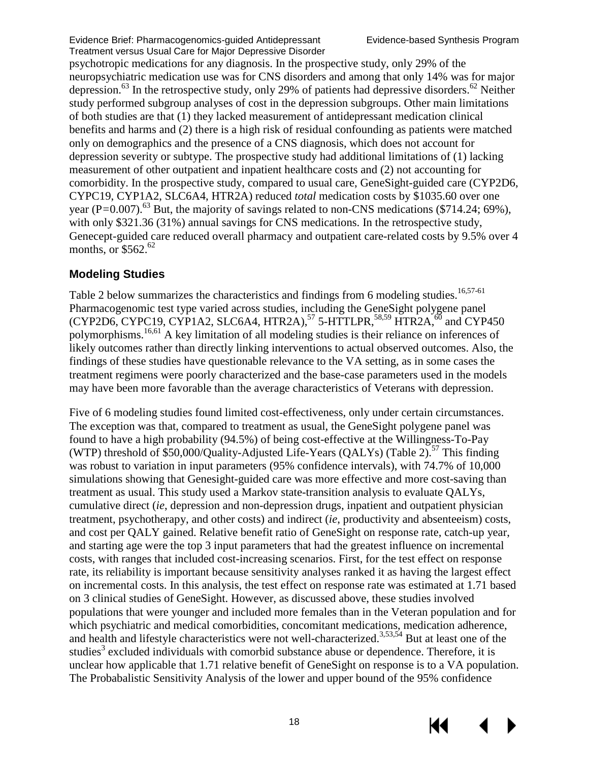psychotropic medications for any diagnosis. In the prospective study, only 29% of the neuropsychiatric medication use was for CNS disorders and among that only 14% was for major depression.<sup>63</sup> In the retrospective study, only 29% of patients had depressive disorders.<sup>[62](#page-33-0)</sup> Neither study performed subgroup analyses of cost in the depression subgroups. Other main limitations of both studies are that (1) they lacked measurement of antidepressant medication clinical benefits and harms and (2) there is a high risk of residual confounding as patients were matched only on demographics and the presence of a CNS diagnosis, which does not account for depression severity or subtype. The prospective study had additional limitations of (1) lacking measurement of other outpatient and inpatient healthcare costs and (2) not accounting for comorbidity. In the prospective study, compared to usual care, GeneSight-guided care (CYP2D6, CYPC19, CYP1A2, SLC6A4, HTR2A) reduced *total* medication costs by \$1035.60 over one year (P=0.007).<sup>63</sup> But, the majority of savings related to non-CNS medications (\$714.24; 69%), with only \$321.36 (31%) annual savings for CNS medications. In the retrospective study, Genecept-guided care reduced overall pharmacy and outpatient care-related costs by 9.5% over 4 months, or  $$562.$ <sup>62</sup>

#### **Modeling Studies**

Table 2 below summarizes the characteristics and findings from 6 modeling studies.<sup>16,[57-61](#page-32-7)</sup> Pharmacogenomic test type varied across studies, including the GeneSight polygene panel  $(CYP2D6, CYPC19, CYP1A2, SLC6A4, HTR2A),$ <sup>[57](#page-32-7)</sup> 5-HTTLPR,<sup>[58](#page-32-11)[,59](#page-32-12)</sup> HTR2A,<sup>60</sup> and CYP450 polymorphisms.[16,](#page-30-0)[61](#page-33-2) A key limitation of all modeling studies is their reliance on inferences of likely outcomes rather than directly linking interventions to actual observed outcomes. Also, the findings of these studies have questionable relevance to the VA setting, as in some cases the treatment regimens were poorly characterized and the base-case parameters used in the models may have been more favorable than the average characteristics of Veterans with depression.

Five of 6 modeling studies found limited cost-effectiveness, only under certain circumstances. The exception was that, compared to treatment as usual, the GeneSight polygene panel was found to have a high probability (94.5%) of being cost-effective at the Willingness-To-Pay (WTP) threshold of \$50,000/Quality-Adjusted Life-Years (QALYs) (Table 2).<sup>57</sup> This finding was robust to variation in input parameters (95% confidence intervals), with 74.7% of 10,000 simulations showing that Genesight-guided care was more effective and more cost-saving than treatment as usual. This study used a Markov state-transition analysis to evaluate QALYs, cumulative direct (*ie*, depression and non-depression drugs, inpatient and outpatient physician treatment, psychotherapy, and other costs) and indirect (*ie*, productivity and absenteeism) costs, and cost per QALY gained. Relative benefit ratio of GeneSight on response rate, catch-up year, and starting age were the top 3 input parameters that had the greatest influence on incremental costs, with ranges that included cost-increasing scenarios. First, for the test effect on response rate, its reliability is important because sensitivity analyses ranked it as having the largest effect on incremental costs. In this analysis, the test effect on response rate was estimated at 1.71 based on 3 clinical studies of GeneSight. However, as discussed above, these studies involved populations that were younger and included more females than in the Veteran population and for which psychiatric and medical comorbidities, concomitant medications, medication adherence, and health and lifestyle characteristics were not well-characterized.<sup>[3,](#page-29-3)[53,](#page-32-6)[54](#page-32-8)</sup> But at least one of the [s](#page-29-3)tudies<sup>3</sup> excluded individuals with comorbid substance abuse or dependence. Therefore, it is unclear how applicable that 1.71 relative benefit of GeneSight on response is to a VA population. The Probabalistic Sensitivity Analysis of the lower and upper bound of the 95% confidence

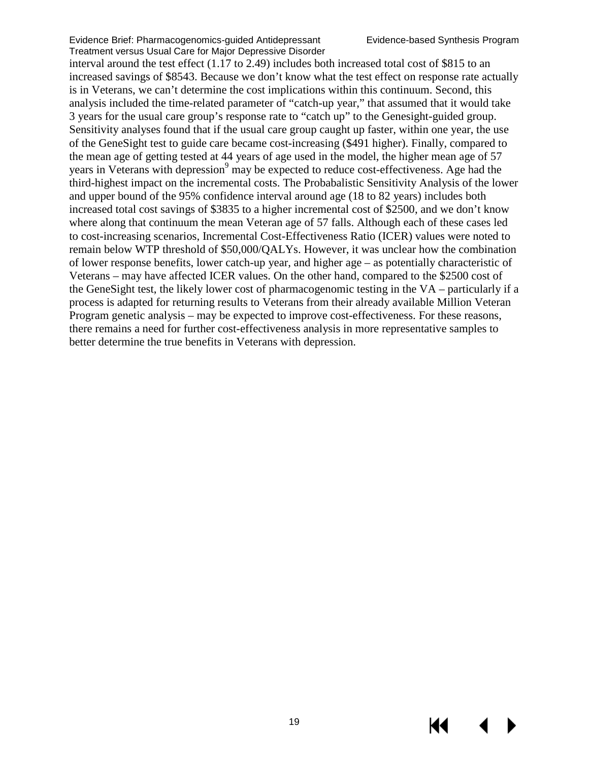interval around the test effect (1.17 to 2.49) includes both increased total cost of \$815 to an increased savings of \$8543. Because we don't know what the test effect on response rate actually is in Veterans, we can't determine the cost implications within this continuum. Second, this analysis included the time-related parameter of "catch-up year," that assumed that it would take 3 years for the usual care group's response rate to "catch up" to the Genesight-guided group. Sensitivity analyses found that if the usual care group caught up faster, within one year, the use of the GeneSight test to guide care became cost-increasing (\$491 higher). Finally, compared to the mean age of getting tested at 44 years of age used in the model, the higher mean age of 57 years in Veterans with depression<sup>9</sup> may be expected to reduce cost-effectiveness. Age had the third-highest impact on the incremental costs. The Probabalistic Sensitivity Analysis of the lower and upper bound of the 95% confidence interval around age (18 to 82 years) includes both increased total cost savings of \$3835 to a higher incremental cost of \$2500, and we don't know where along that continuum the mean Veteran age of 57 falls. Although each of these cases led to cost-increasing scenarios, Incremental Cost-Effectiveness Ratio (ICER) values were noted to remain below WTP threshold of \$50,000/QALYs. However, it was unclear how the combination of lower response benefits, lower catch-up year, and higher age – as potentially characteristic of Veterans – may have affected ICER values. On the other hand, compared to the \$2500 cost of the GeneSight test, the likely lower cost of pharmacogenomic testing in the VA – particularly if a process is adapted for returning results to Veterans from their already available Million Veteran Program genetic analysis – may be expected to improve cost-effectiveness. For these reasons, there remains a need for further cost-effectiveness analysis in more representative samples to better determine the true benefits in Veterans with depression.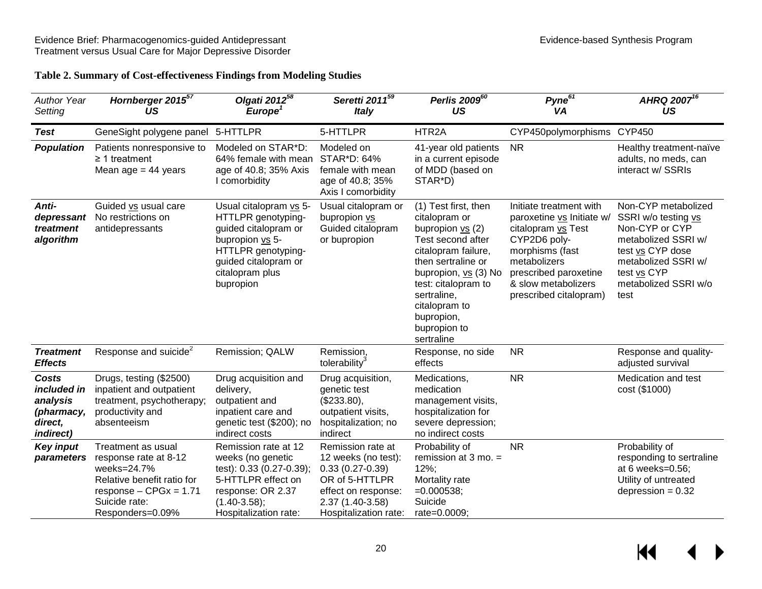#### **Table 2. Summary of Cost-effectiveness Findings from Modeling Studies**

<span id="page-22-0"></span>

| <b>Author Year</b><br>Setting                                                 | Hornberger 2015 <sup>57</sup><br>US                                                                                                                       | Olgati 2012 <sup>58</sup><br>Europe <sup>1</sup>                                                                                                                      | Seretti 2011 <sup>59</sup><br><b>Italy</b>                                                                                                          | Perlis 200960<br>US                                                                                                                                                                                                                                      | Pyne $67$<br>VA                                                                                                                                                                                         | AHRQ 2007 <sup>16</sup><br>US                                                                                                                                                 |
|-------------------------------------------------------------------------------|-----------------------------------------------------------------------------------------------------------------------------------------------------------|-----------------------------------------------------------------------------------------------------------------------------------------------------------------------|-----------------------------------------------------------------------------------------------------------------------------------------------------|----------------------------------------------------------------------------------------------------------------------------------------------------------------------------------------------------------------------------------------------------------|---------------------------------------------------------------------------------------------------------------------------------------------------------------------------------------------------------|-------------------------------------------------------------------------------------------------------------------------------------------------------------------------------|
| <b>Test</b>                                                                   | GeneSight polygene panel                                                                                                                                  | 5-HTTLPR                                                                                                                                                              | 5-HTTLPR                                                                                                                                            | HTR2A                                                                                                                                                                                                                                                    | CYP450polymorphisms CYP450                                                                                                                                                                              |                                                                                                                                                                               |
| <b>Population</b>                                                             | Patients nonresponsive to<br>$\geq$ 1 treatment<br>Mean $age = 44$ years                                                                                  | Modeled on STAR*D:<br>64% female with mean<br>age of 40.8; 35% Axis<br>I comorbidity                                                                                  | Modeled on<br>STAR*D: 64%<br>female with mean<br>age of 40.8; 35%<br>Axis I comorbidity                                                             | 41-year old patients<br>in a current episode<br>of MDD (based on<br>STAR*D)                                                                                                                                                                              | N <sub>R</sub>                                                                                                                                                                                          | Healthy treatment-naïve<br>adults, no meds, can<br>interact w/ SSRIs                                                                                                          |
| Anti-<br>depressant<br>treatment<br>algorithm                                 | Guided vs usual care<br>No restrictions on<br>antidepressants                                                                                             | Usual citalopram vs 5-<br>HTTLPR genotyping-<br>guided citalopram or<br>bupropion vs 5-<br>HTTLPR genotyping-<br>guided citalopram or<br>citalopram plus<br>bupropion | Usual citalopram or<br>bupropion vs<br>Guided citalopram<br>or bupropion                                                                            | (1) Test first, then<br>citalopram or<br>bupropion $vs$ (2)<br>Test second after<br>citalopram failure,<br>then sertraline or<br>bupropion, vs (3) No<br>test: citalopram to<br>sertraline,<br>citalopram to<br>bupropion,<br>bupropion to<br>sertraline | Initiate treatment with<br>paroxetine vs Initiate w/<br>citalopram vs Test<br>CYP2D6 poly-<br>morphisms (fast<br>metabolizers<br>prescribed paroxetine<br>& slow metabolizers<br>prescribed citalopram) | Non-CYP metabolized<br>SSRI w/o testing vs<br>Non-CYP or CYP<br>metabolized SSRI w/<br>test vs CYP dose<br>metabolized SSRI w/<br>test vs CYP<br>metabolized SSRI w/o<br>test |
| <b>Treatment</b><br><b>Effects</b>                                            | Response and suicide <sup>2</sup>                                                                                                                         | Remission; QALW                                                                                                                                                       | Remission,<br>tolerability <sup>3</sup>                                                                                                             | Response, no side<br>effects                                                                                                                                                                                                                             | <b>NR</b>                                                                                                                                                                                               | Response and quality-<br>adjusted survival                                                                                                                                    |
| Costs<br>included in<br>analysis<br>(pharmacy,<br>direct,<br><i>indirect)</i> | Drugs, testing (\$2500)<br>inpatient and outpatient<br>treatment, psychotherapy;<br>productivity and<br>absenteeism                                       | Drug acquisition and<br>delivery,<br>outpatient and<br>inpatient care and<br>genetic test (\$200); no<br>indirect costs                                               | Drug acquisition,<br>genetic test<br>(\$233.80),<br>outpatient visits,<br>hospitalization; no<br>indirect                                           | Medications,<br>medication<br>management visits,<br>hospitalization for<br>severe depression;<br>no indirect costs                                                                                                                                       | <b>NR</b>                                                                                                                                                                                               | Medication and test<br>cost (\$1000)                                                                                                                                          |
| <b>Key input</b><br>parameters                                                | Treatment as usual<br>response rate at 8-12<br>weeks=24.7%<br>Relative benefit ratio for<br>$response - CPGx = 1.71$<br>Suicide rate:<br>Responders=0.09% | Remission rate at 12<br>weeks (no genetic<br>test): 0.33 (0.27-0.39);<br>5-HTTLPR effect on<br>response: OR 2.37<br>$(1.40 - 3.58);$<br>Hospitalization rate:         | Remission rate at<br>12 weeks (no test):<br>$0.33(0.27-0.39)$<br>OR of 5-HTTLPR<br>effect on response:<br>2.37 (1.40-3.58)<br>Hospitalization rate: | Probability of<br>remission at $3$ mo. $=$<br>$12\%$ ;<br>Mortality rate<br>$=0.000538$ ;<br>Suicide<br>rate=0.0009;                                                                                                                                     | <b>NR</b>                                                                                                                                                                                               | Probability of<br>responding to sertraline<br>at 6 weeks=0.56;<br>Utility of untreated<br>depression $= 0.32$                                                                 |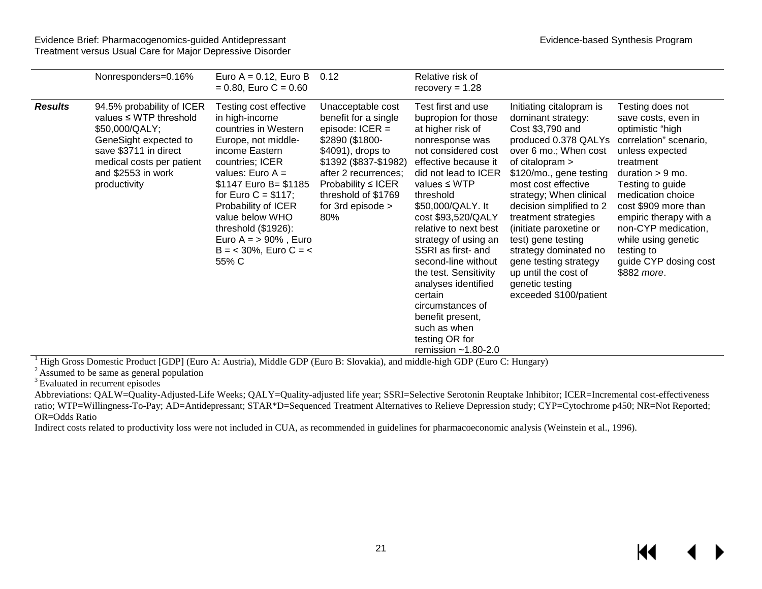|                | Nonresponders=0.16%                                                                                                                                                                             | Euro $A = 0.12$ , Euro B<br>$= 0.80$ , Euro C = 0.60                                                                                                                                                                                                                                                                                   | 0.12                                                                                                                                                                                                                                    | Relative risk of<br>$recovery = 1.28$                                                                                                                                                                                                                                                                                                                                                                                                                                                             |                                                                                                                                                                                                                                                                                                                                                                                                                                                   |                                                                                                                                                                                                                                                                                                                                            |
|----------------|-------------------------------------------------------------------------------------------------------------------------------------------------------------------------------------------------|----------------------------------------------------------------------------------------------------------------------------------------------------------------------------------------------------------------------------------------------------------------------------------------------------------------------------------------|-----------------------------------------------------------------------------------------------------------------------------------------------------------------------------------------------------------------------------------------|---------------------------------------------------------------------------------------------------------------------------------------------------------------------------------------------------------------------------------------------------------------------------------------------------------------------------------------------------------------------------------------------------------------------------------------------------------------------------------------------------|---------------------------------------------------------------------------------------------------------------------------------------------------------------------------------------------------------------------------------------------------------------------------------------------------------------------------------------------------------------------------------------------------------------------------------------------------|--------------------------------------------------------------------------------------------------------------------------------------------------------------------------------------------------------------------------------------------------------------------------------------------------------------------------------------------|
| <b>Results</b> | 94.5% probability of ICER<br>values $\leq$ WTP threshold<br>\$50,000/QALY;<br>GeneSight expected to<br>save \$3711 in direct<br>medical costs per patient<br>and \$2553 in work<br>productivity | Testing cost effective<br>in high-income<br>countries in Western<br>Europe, not middle-<br>income Eastern<br>countries; ICER<br>values: Euro $A =$<br>\$1147 Euro B= \$1185<br>for Euro $C = $117$ ;<br>Probability of ICER<br>value below WHO<br>threshold $(\$1926)$ :<br>Euro $A = 90\%$ , Euro<br>$B = 30\%$ , Euro C = <<br>55% C | Unacceptable cost<br>benefit for a single<br>episode: $ICER =$<br>\$2890 (\$1800-<br>\$4091), drops to<br>\$1392 (\$837-\$1982)<br>after 2 recurrences;<br>Probability $\leq$ ICER<br>threshold of \$1769<br>for 3rd episode $>$<br>80% | Test first and use<br>bupropion for those<br>at higher risk of<br>nonresponse was<br>not considered cost<br>effective because it<br>did not lead to ICER<br>values $\leq$ WTP<br>threshold<br>\$50,000/QALY. It<br>cost \$93,520/QALY<br>relative to next best<br>strategy of using an<br>SSRI as first- and<br>second-line without<br>the test. Sensitivity<br>analyses identified<br>certain<br>circumstances of<br>benefit present,<br>such as when<br>testing OR for<br>remission $~1.80-2.0$ | Initiating citalopram is<br>dominant strategy:<br>Cost \$3,790 and<br>produced 0.378 QALYs<br>over 6 mo.; When cost<br>of citalopram $>$<br>\$120/mo., gene testing<br>most cost effective<br>strategy; When clinical<br>decision simplified to 2<br>treatment strategies<br>(initiate paroxetine or<br>test) gene testing<br>strategy dominated no<br>gene testing strategy<br>up until the cost of<br>genetic testing<br>exceeded \$100/patient | Testing does not<br>save costs, even in<br>optimistic "high<br>correlation" scenario,<br>unless expected<br>treatment<br>duration $> 9$ mo.<br>Testing to guide<br>medication choice<br>cost \$909 more than<br>empiric therapy with a<br>non-CYP medication,<br>while using genetic<br>testing to<br>guide CYP dosing cost<br>\$882 more. |

<sup>1</sup> High Gross Domestic Product [GDP] (Euro A: Austria), Middle GDP (Euro B: Slovakia), and middle-high GDP (Euro C: Hungary) <sup>2</sup> Assumed to be same as general population

<sup>3</sup> Evaluated in recurrent episodes

Abbreviations: QALW=Quality-Adjusted-Life Weeks; QALY=Quality-adjusted life year; SSRI=Selective Serotonin Reuptake Inhibitor; ICER=Incremental cost-effectiveness ratio; WTP=Willingness-To-Pay; AD=Antidepressant; STAR\*D=Sequenced Treatment Alternatives to Relieve Depression study; CYP=Cytochrome p450; NR=Not Reported; OR=Odds Ratio

Indirect costs related to productivity loss were not included in CUA, as recommended in guidelines for pharmacoeconomic analysis (Weinstein et al., 1996).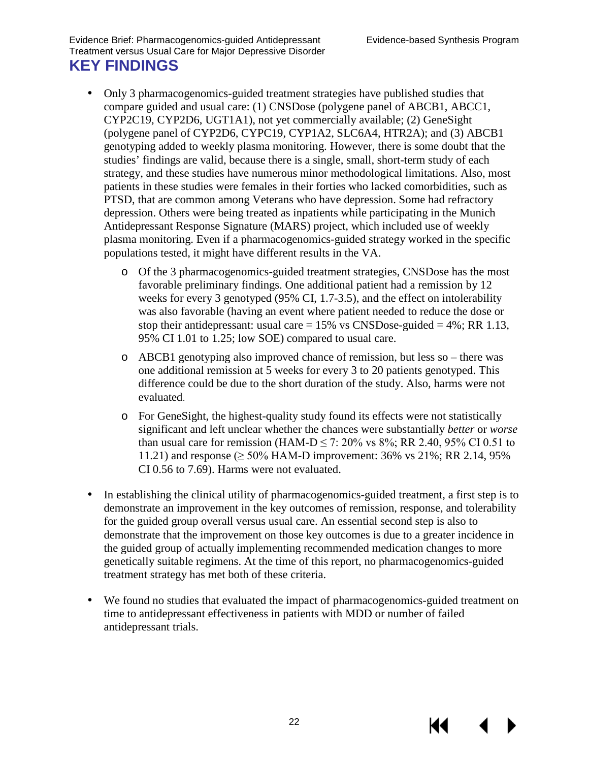- <span id="page-24-0"></span>Only 3 pharmacogenomics-guided treatment strategies have published studies that compare guided and usual care: (1) CNSDose (polygene panel of ABCB1, ABCC1, CYP2C19, CYP2D6, UGT1A1), not yet commercially available; (2) GeneSight (polygene panel of CYP2D6, CYPC19, CYP1A2, SLC6A4, HTR2A); and (3) ABCB1 genotyping added to weekly plasma monitoring. However, there is some doubt that the studies' findings are valid, because there is a single, small, short-term study of each strategy, and these studies have numerous minor methodological limitations. Also, most patients in these studies were females in their forties who lacked comorbidities, such as PTSD, that are common among Veterans who have depression. Some had refractory depression. Others were being treated as inpatients while participating in the Munich Antidepressant Response Signature (MARS) project, which included use of weekly plasma monitoring. Even if a pharmacogenomics-guided strategy worked in the specific populations tested, it might have different results in the VA.
	- o Of the 3 pharmacogenomics-guided treatment strategies, CNSDose has the most favorable preliminary findings. One additional patient had a remission by 12 weeks for every 3 genotyped (95% CI, 1.7-3.5), and the effect on intolerability was also favorable (having an event where patient needed to reduce the dose or stop their antidepressant: usual care  $= 15\%$  vs CNSDose-guided  $= 4\%$ ; RR 1.13, 95% CI 1.01 to 1.25; low SOE) compared to usual care.
	- o ABCB1 genotyping also improved chance of remission, but less so there was one additional remission at 5 weeks for every 3 to 20 patients genotyped. This difference could be due to the short duration of the study. Also, harms were not evaluated.
	- o For GeneSight, the highest-quality study found its effects were not statistically significant and left unclear whether the chances were substantially *better* or *worse*  than usual care for remission (HAM-D  $\leq$  7: 20% vs 8%; RR 2.40, 95% CI 0.51 to 11.21) and response ( $\geq 50\%$  HAM-D improvement: 36% vs 21%; RR 2.14, 95% CI 0.56 to 7.69). Harms were not evaluated.
- In establishing the clinical utility of pharmacogenomics-guided treatment, a first step is to demonstrate an improvement in the key outcomes of remission, response, and tolerability for the guided group overall versus usual care. An essential second step is also to demonstrate that the improvement on those key outcomes is due to a greater incidence in the guided group of actually implementing recommended medication changes to more genetically suitable regimens. At the time of this report, no pharmacogenomics-guided treatment strategy has met both of these criteria.
- We found no studies that evaluated the impact of pharmacogenomics-guided treatment on time to antidepressant effectiveness in patients with MDD or number of failed antidepressant trials.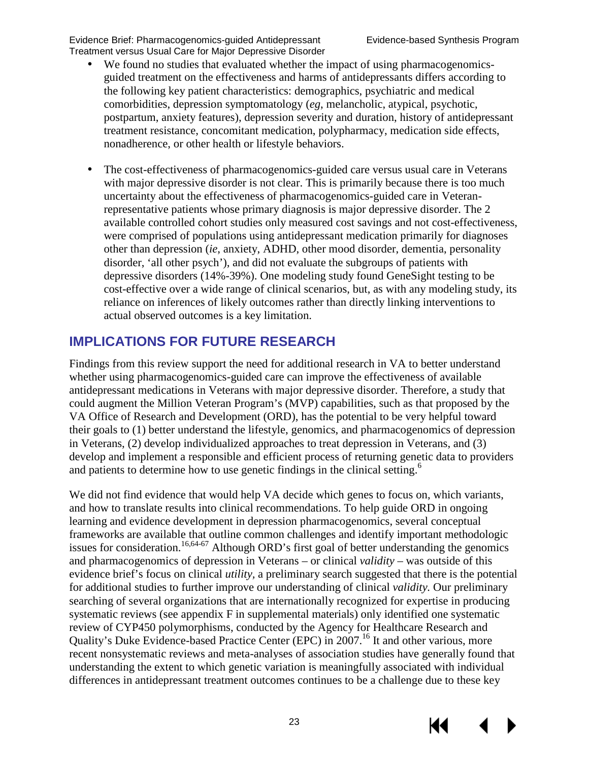- We found no studies that evaluated whether the impact of using pharmacogenomicsguided treatment on the effectiveness and harms of antidepressants differs according to the following key patient characteristics: demographics, psychiatric and medical comorbidities, depression symptomatology (*eg*, melancholic, atypical, psychotic, postpartum, anxiety features), depression severity and duration, history of antidepressant treatment resistance, concomitant medication, polypharmacy, medication side effects, nonadherence, or other health or lifestyle behaviors.
- The cost-effectiveness of pharmacogenomics-guided care versus usual care in Veterans ä, with major depressive disorder is not clear. This is primarily because there is too much uncertainty about the effectiveness of pharmacogenomics-guided care in Veteranrepresentative patients whose primary diagnosis is major depressive disorder. The 2 available controlled cohort studies only measured cost savings and not cost-effectiveness, were comprised of populations using antidepressant medication primarily for diagnoses other than depression (*ie*, anxiety, ADHD, other mood disorder, dementia, personality disorder, 'all other psych'), and did not evaluate the subgroups of patients with depressive disorders (14%-39%). One modeling study found GeneSight testing to be cost-effective over a wide range of clinical scenarios, but, as with any modeling study, its reliance on inferences of likely outcomes rather than directly linking interventions to actual observed outcomes is a key limitation.

# <span id="page-25-0"></span>**IMPLICATIONS FOR FUTURE RESEARCH**

Findings from this review support the need for additional research in VA to better understand whether using pharmacogenomics-guided care can improve the effectiveness of available antidepressant medications in Veterans with major depressive disorder. Therefore, a study that could augment the Million Veteran Program's (MVP) capabilities, such as that proposed by the VA Office of Research and Development (ORD), has the potential to be very helpful toward their goals to (1) better understand the lifestyle, genomics, and pharmacogenomics of depression in Veterans, (2) develop individualized approaches to treat depression in Veterans, and (3) develop and implement a responsible and efficient process of returning genetic data to providers and patients to determine how to use genetic findings in the clinical setting.<sup>6</sup>

We did not find evidence that would help VA decide which genes to focus on, which variants, and how to translate results into clinical recommendations. To help guide ORD in ongoing learning and evidence development in depression pharmacogenomics, several conceptual frameworks are available that outline common challenges and identify important methodologic issues for consideration.<sup>16,64-67</sup> Although ORD's first goal of better understanding the genomics and pharmacogenomics of depression in Veterans – or clinical *validity* – was outside of this evidence brief's focus on clinical *utility,* a preliminary search suggested that there is the potential for additional studies to further improve our understanding of clinical *validity.* Our preliminary searching of several organizations that are internationally recognized for expertise in producing systematic reviews (see appendix F in supplemental materials) only identified one systematic review of CYP450 polymorphisms, conducted by the Agency for Healthcare Research and Quality's Duke Evidence-based Practice Center (EPC) in 2007.<sup>16</sup> It and other various, more recent nonsystematic reviews and meta-analyses of association studies have generally found that understanding the extent to which genetic variation is meaningfully associated with individual differences in antidepressant treatment outcomes continues to be a challenge due to these key

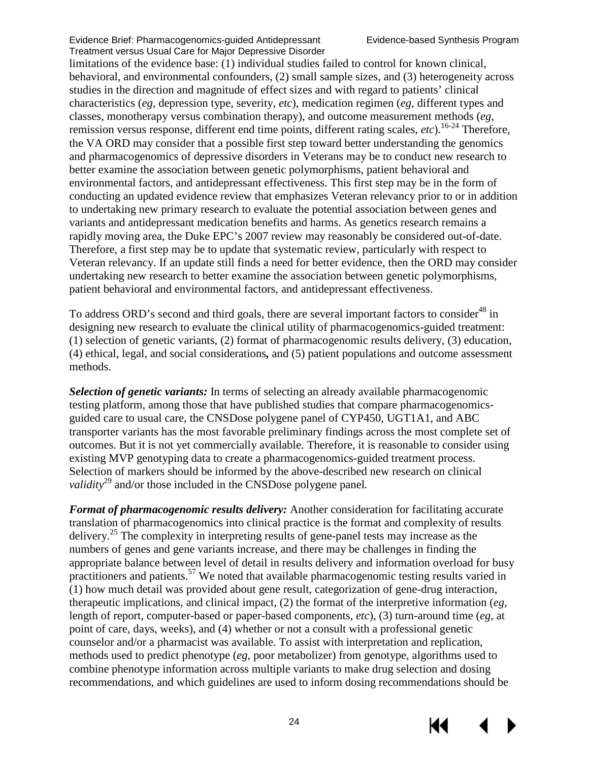limitations of the evidence base: (1) individual studies failed to control for known clinical, behavioral, and environmental confounders, (2) small sample sizes, and (3) heterogeneity across studies in the direction and magnitude of effect sizes and with regard to patients' clinical characteristics (*eg*, depression type, severity, *etc*), medication regimen (*eg*, different types and classes, monotherapy versus combination therapy), and outcome measurement methods (*eg*, remission versus response, different end time points, different rating scales, *etc*)[.16-24](#page-30-0) Therefore, the VA ORD may consider that a possible first step toward better understanding the genomics and pharmacogenomics of depressive disorders in Veterans may be to conduct new research to better examine the association between genetic polymorphisms, patient behavioral and environmental factors, and antidepressant effectiveness. This first step may be in the form of conducting an updated evidence review that emphasizes Veteran relevancy prior to or in addition to undertaking new primary research to evaluate the potential association between genes and variants and antidepressant medication benefits and harms. As genetics research remains a rapidly moving area, the Duke EPC's 2007 review may reasonably be considered out-of-date. Therefore, a first step may be to update that systematic review, particularly with respect to Veteran relevancy. If an update still finds a need for better evidence, then the ORD may consider undertaking new research to better examine the association between genetic polymorphisms, patient behavioral and environmental factors, and antidepressant effectiveness.

To address ORD's second and third goals, there are several important factors to consider<sup>48</sup> in designing new research to evaluate the clinical utility of pharmacogenomics-guided treatment: (1) selection of genetic variants, (2) format of pharmacogenomic results delivery, (3) education, (4) ethical, legal, and social considerations*,* and (5) patient populations and outcome assessment methods.

*Selection of genetic variants:* In terms of selecting an already available pharmacogenomic testing platform, among those that have published studies that compare pharmacogenomicsguided care to usual care, the CNSDose polygene panel of CYP450, UGT1A1, and ABC transporter variants has the most favorable preliminary findings across the most complete set of outcomes. But it is not yet commercially available. Therefore, it is reasonable to consider using existing MVP genotyping data to create a pharmacogenomics-guided treatment process. Selection of markers should be informed by the above-described new research on clinical *validity*<sup>[29](#page-30-7)</sup> and/or those included in the CNSDose polygene panel.

*Format of pharmacogenomic results delivery:* Another consideration for facilitating accurate translation of pharmacogenomics into clinical practice is the format and complexity of results delivery.[25](#page-30-2) The complexity in interpreting results of gene-panel tests may increase as the numbers of genes and gene variants increase, and there may be challenges in finding the appropriate balance between level of detail in results delivery and information overload for busy practitioners and patients.<sup>[57](#page-32-7)</sup> We noted that available pharmacogenomic testing results varied in (1) how much detail was provided about gene result, categorization of gene-drug interaction, therapeutic implications, and clinical impact, (2) the format of the interpretive information (*eg*, length of report, computer-based or paper-based components, *etc*), (3) turn-around time (*eg*, at point of care, days, weeks), and (4) whether or not a consult with a professional genetic counselor and/or a pharmacist was available. To assist with interpretation and replication, methods used to predict phenotype (*eg*, poor metabolizer) from genotype, algorithms used to combine phenotype information across multiple variants to make drug selection and dosing recommendations, and which guidelines are used to inform dosing recommendations should be

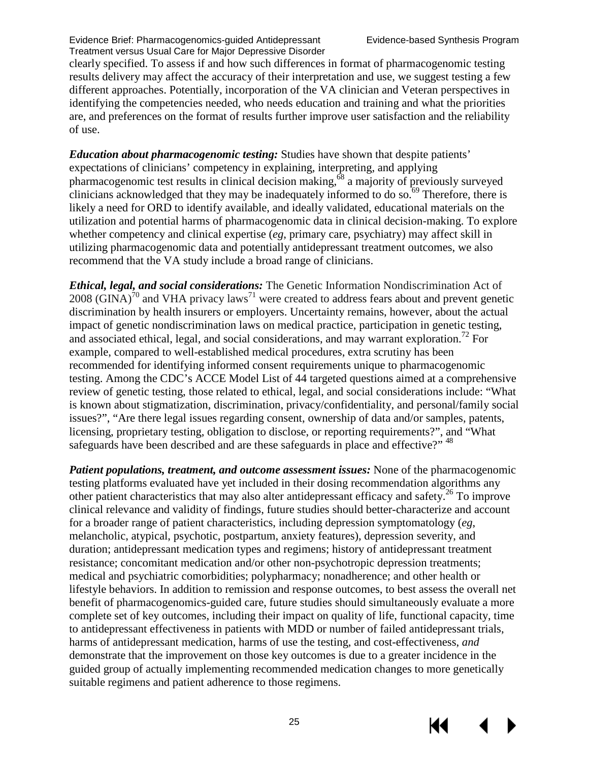clearly specified. To assess if and how such differences in format of pharmacogenomic testing results delivery may affect the accuracy of their interpretation and use, we suggest testing a few different approaches. Potentially, incorporation of the VA clinician and Veteran perspectives in identifying the competencies needed, who needs education and training and what the priorities are, and preferences on the format of results further improve user satisfaction and the reliability of use.

*Education about pharmacogenomic testing:* Studies have shown that despite patients' expectations of clinicians' competency in explaining, interpreting, and applying pharmacogenomic test results in clinical decision making,[68](#page-33-5) a majority of previously surveyed clinicians acknowledged that they may be inadequately informed to do so.<sup>69</sup> Therefore, there is likely a need for ORD to identify available, and ideally validated, educational materials on the utilization and potential harms of pharmacogenomic data in clinical decision-making. To explore whether competency and clinical expertise (*eg*, primary care, psychiatry) may affect skill in utilizing pharmacogenomic data and potentially antidepressant treatment outcomes, we also recommend that the VA study include a broad range of clinicians.

*Ethical, legal, and social considerations:* The Genetic Information Nondiscrimination Act of 2008 (GINA)<sup>70</sup> and VHA privacy laws<sup>[71](#page-33-8)</sup> were created to address fears about and prevent genetic discrimination by health insurers or employers. Uncertainty remains, however, about the actual impact of genetic nondiscrimination laws on medical practice, participation in genetic testing, and associated ethical, legal, and social considerations, and may warrant exploration.<sup>72</sup> For example, compared to well-established medical procedures, extra scrutiny has been recommended for identifying informed consent requirements unique to pharmacogenomic testing. Among the CDC's ACCE Model List of 44 targeted questions aimed at a comprehensive review of genetic testing, those related to ethical, legal, and social considerations include: "What is known about stigmatization, discrimination, privacy/confidentiality, and personal/family social issues?", "Are there legal issues regarding consent, ownership of data and/or samples, patents, licensing, proprietary testing, obligation to disclose, or reporting requirements?", and "What safeguards have been described and are these safeguards in place and effective?" <sup>[48](#page-32-1)</sup>

*Patient populations, treatment, and outcome assessment issues:* None of the pharmacogenomic testing platforms evaluated have yet included in their dosing recommendation algorithms any other patient characteristics that may also alter antidepressant efficacy and safety[.26](#page-30-3) To improve clinical relevance and validity of findings, future studies should better-characterize and account for a broader range of patient characteristics, including depression symptomatology (*eg*, melancholic, atypical, psychotic, postpartum, anxiety features), depression severity, and duration; antidepressant medication types and regimens; history of antidepressant treatment resistance; concomitant medication and/or other non-psychotropic depression treatments; medical and psychiatric comorbidities; polypharmacy; nonadherence; and other health or lifestyle behaviors. In addition to remission and response outcomes, to best assess the overall net benefit of pharmacogenomics-guided care, future studies should simultaneously evaluate a more complete set of key outcomes, including their impact on quality of life, functional capacity, time to antidepressant effectiveness in patients with MDD or number of failed antidepressant trials, harms of antidepressant medication, harms of use the testing, and cost-effectiveness, *and*  demonstrate that the improvement on those key outcomes is due to a greater incidence in the guided group of actually implementing recommended medication changes to more genetically suitable regimens and patient adherence to those regimens.

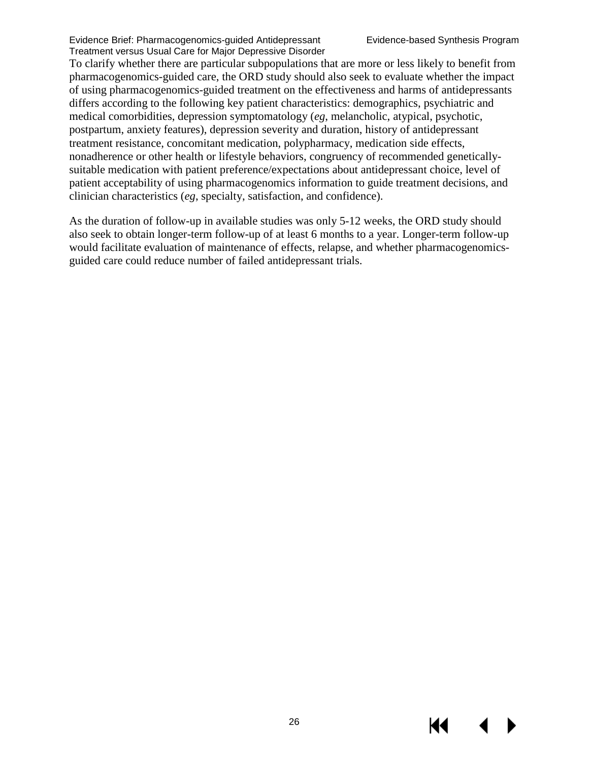To clarify whether there are particular subpopulations that are more or less likely to benefit from pharmacogenomics-guided care, the ORD study should also seek to evaluate whether the impact of using pharmacogenomics-guided treatment on the effectiveness and harms of antidepressants differs according to the following key patient characteristics: demographics, psychiatric and medical comorbidities, depression symptomatology (*eg*, melancholic, atypical, psychotic, postpartum, anxiety features), depression severity and duration, history of antidepressant treatment resistance, concomitant medication, polypharmacy, medication side effects, nonadherence or other health or lifestyle behaviors, congruency of recommended geneticallysuitable medication with patient preference/expectations about antidepressant choice, level of patient acceptability of using pharmacogenomics information to guide treatment decisions, and clinician characteristics (*eg*, specialty, satisfaction, and confidence).

As the duration of follow-up in available studies was only 5-12 weeks, the ORD study should also seek to obtain longer-term follow-up of at least 6 months to a year. Longer-term follow-up would facilitate evaluation of maintenance of effects, relapse, and whether pharmacogenomicsguided care could reduce number of failed antidepressant trials.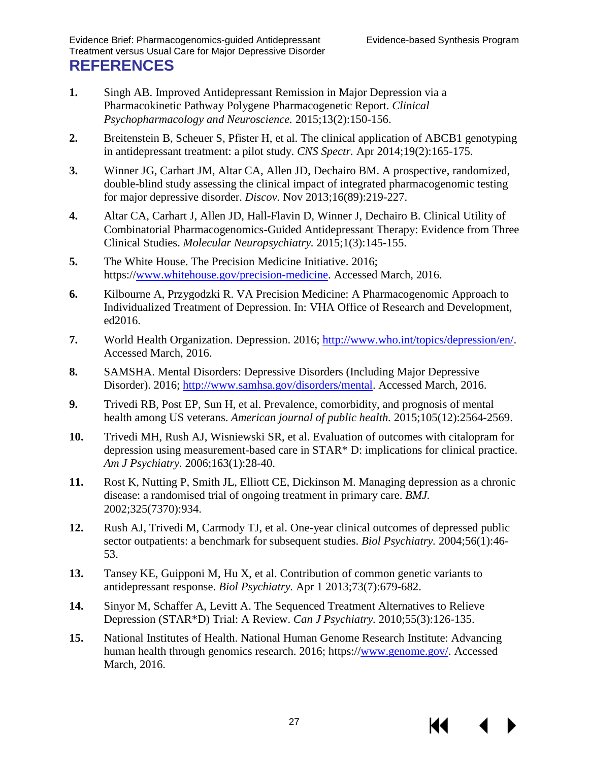- <span id="page-29-1"></span><span id="page-29-0"></span>**1.** Singh AB. Improved Antidepressant Remission in Major Depression via a Pharmacokinetic Pathway Polygene Pharmacogenetic Report. *Clinical Psychopharmacology and Neuroscience.* 2015;13(2):150-156.
- <span id="page-29-2"></span>**2.** Breitenstein B, Scheuer S, Pfister H, et al. The clinical application of ABCB1 genotyping in antidepressant treatment: a pilot study. *CNS Spectr.* Apr 2014;19(2):165-175.
- <span id="page-29-3"></span>**3.** Winner JG, Carhart JM, Altar CA, Allen JD, Dechairo BM. A prospective, randomized, double-blind study assessing the clinical impact of integrated pharmacogenomic testing for major depressive disorder. *Discov.* Nov 2013;16(89):219-227.
- <span id="page-29-4"></span>**4.** Altar CA, Carhart J, Allen JD, Hall-Flavin D, Winner J, Dechairo B. Clinical Utility of Combinatorial Pharmacogenomics-Guided Antidepressant Therapy: Evidence from Three Clinical Studies. *Molecular Neuropsychiatry.* 2015;1(3):145-155.
- <span id="page-29-5"></span>**5.** The White House. The Precision Medicine Initiative. 2016; https:/[/www.whitehouse.gov/precision-medicine.](http://www.whitehouse.gov/precision-medicine) Accessed March, 2016.
- <span id="page-29-6"></span>**6.** Kilbourne A, Przygodzki R. VA Precision Medicine: A Pharmacogenomic Approach to Individualized Treatment of Depression. In: VHA Office of Research and Development, ed2016.
- <span id="page-29-7"></span>**7.** World Health Organization. Depression. 2016; [http://www.who.int/topics/depression/en/.](http://www.who.int/topics/depression/en/) Accessed March, 2016.
- <span id="page-29-8"></span>**8.** SAMSHA. Mental Disorders: Depressive Disorders (Including Major Depressive Disorder). 2016; [http://www.samhsa.gov/disorders/mental.](http://www.samhsa.gov/disorders/mental) Accessed March, 2016.
- <span id="page-29-9"></span>**9.** Trivedi RB, Post EP, Sun H, et al. Prevalence, comorbidity, and prognosis of mental health among US veterans. *American journal of public health.* 2015;105(12):2564-2569.
- <span id="page-29-10"></span>**10.** Trivedi MH, Rush AJ, Wisniewski SR, et al. Evaluation of outcomes with citalopram for depression using measurement-based care in STAR\* D: implications for clinical practice. *Am J Psychiatry.* 2006;163(1):28-40.
- **11.** Rost K, Nutting P, Smith JL, Elliott CE, Dickinson M. Managing depression as a chronic disease: a randomised trial of ongoing treatment in primary care. *BMJ.*  2002;325(7370):934.
- **12.** Rush AJ, Trivedi M, Carmody TJ, et al. One-year clinical outcomes of depressed public sector outpatients: a benchmark for subsequent studies. *Biol Psychiatry.* 2004;56(1):46- 53.
- **13.** Tansey KE, Guipponi M, Hu X, et al. Contribution of common genetic variants to antidepressant response. *Biol Psychiatry.* Apr 1 2013;73(7):679-682.
- <span id="page-29-11"></span>**14.** Sinyor M, Schaffer A, Levitt A. The Sequenced Treatment Alternatives to Relieve Depression (STAR\*D) Trial: A Review. *Can J Psychiatry.* 2010;55(3):126-135.
- <span id="page-29-12"></span>**15.** National Institutes of Health. National Human Genome Research Institute: Advancing human health through genomics research. 2016; https:/[/www.genome.gov/.](http://www.genome.gov/) Accessed March, 2016.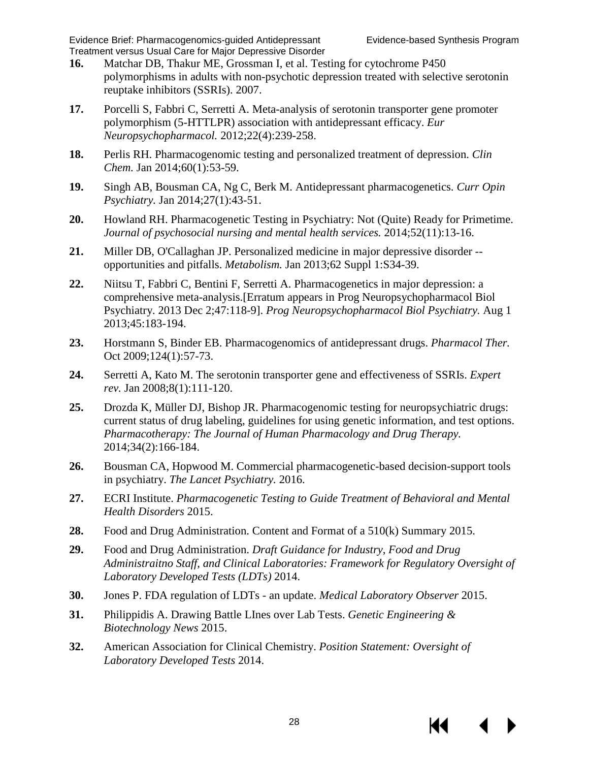- <span id="page-30-12"></span><span id="page-30-0"></span>**16.** Matchar DB, Thakur ME, Grossman I, et al. Testing for cytochrome P450 polymorphisms in adults with non-psychotic depression treated with selective serotonin reuptake inhibitors (SSRIs). 2007.
- <span id="page-30-1"></span>**17.** Porcelli S, Fabbri C, Serretti A. Meta-analysis of serotonin transporter gene promoter polymorphism (5-HTTLPR) association with antidepressant efficacy. *Eur Neuropsychopharmacol.* 2012;22(4):239-258.
- **18.** Perlis RH. Pharmacogenomic testing and personalized treatment of depression. *Clin Chem.* Jan 2014;60(1):53-59.
- <span id="page-30-11"></span>**19.** Singh AB, Bousman CA, Ng C, Berk M. Antidepressant pharmacogenetics. *Curr Opin Psychiatry.* Jan 2014;27(1):43-51.
- <span id="page-30-6"></span>**20.** Howland RH. Pharmacogenetic Testing in Psychiatry: Not (Quite) Ready for Primetime. *Journal of psychosocial nursing and mental health services.* 2014;52(11):13-16.
- **21.** Miller DB, O'Callaghan JP. Personalized medicine in major depressive disorder opportunities and pitfalls. *Metabolism.* Jan 2013;62 Suppl 1:S34-39.
- **22.** Niitsu T, Fabbri C, Bentini F, Serretti A. Pharmacogenetics in major depression: a comprehensive meta-analysis.[Erratum appears in Prog Neuropsychopharmacol Biol Psychiatry. 2013 Dec 2;47:118-9]. *Prog Neuropsychopharmacol Biol Psychiatry.* Aug 1 2013;45:183-194.
- **23.** Horstmann S, Binder EB. Pharmacogenomics of antidepressant drugs. *Pharmacol Ther.*  Oct 2009;124(1):57-73.
- **24.** Serretti A, Kato M. The serotonin transporter gene and effectiveness of SSRIs. *Expert rev.* Jan 2008;8(1):111-120.
- <span id="page-30-2"></span>**25.** Drozda K, Müller DJ, Bishop JR. Pharmacogenomic testing for neuropsychiatric drugs: current status of drug labeling, guidelines for using genetic information, and test options. *Pharmacotherapy: The Journal of Human Pharmacology and Drug Therapy.*  2014;34(2):166-184.
- <span id="page-30-3"></span>**26.** Bousman CA, Hopwood M. Commercial pharmacogenetic-based decision-support tools in psychiatry. *The Lancet Psychiatry.* 2016.
- <span id="page-30-4"></span>**27.** ECRI Institute. *Pharmacogenetic Testing to Guide Treatment of Behavioral and Mental Health Disorders* 2015.
- <span id="page-30-5"></span>**28.** Food and Drug Administration. Content and Format of a 510(k) Summary 2015.
- <span id="page-30-7"></span>**29.** Food and Drug Administration. *Draft Guidance for Industry, Food and Drug Administraitno Staff, and Clinical Laboratories: Framework for Regulatory Oversight of Laboratory Developed Tests (LDTs)* 2014.
- <span id="page-30-8"></span>**30.** Jones P. FDA regulation of LDTs - an update. *Medical Laboratory Observer* 2015.
- <span id="page-30-9"></span>**31.** Philippidis A. Drawing Battle LInes over Lab Tests. *Genetic Engineering & Biotechnology News* 2015.
- <span id="page-30-10"></span>**32.** American Association for Clinical Chemistry. *Position Statement: Oversight of Laboratory Developed Tests* 2014.

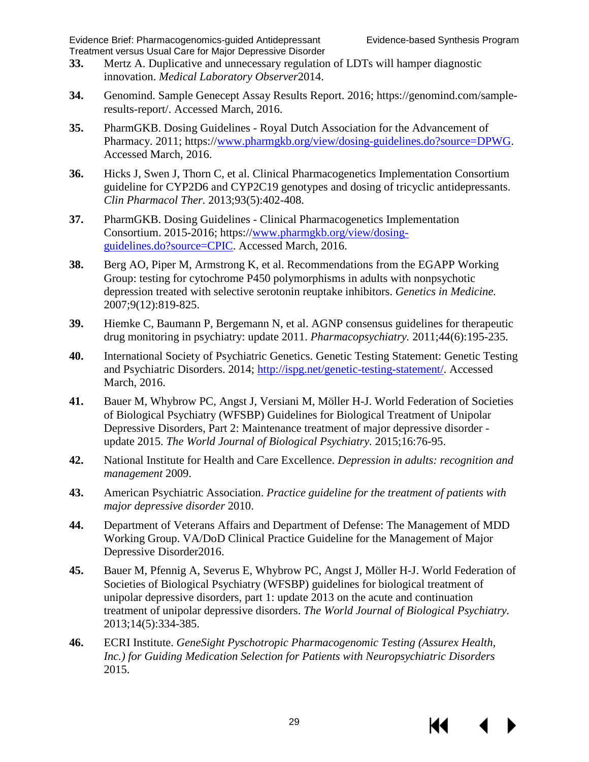- <span id="page-31-0"></span>**33.** Mertz A. Duplicative and unnecessary regulation of LDTs will hamper diagnostic innovation. *Medical Laboratory Observer*2014.
- <span id="page-31-1"></span>**34.** Genomind. Sample Genecept Assay Results Report. 2016; https://genomind.com/sampleresults-report/. Accessed March, 2016.
- <span id="page-31-2"></span>**35.** PharmGKB. Dosing Guidelines - Royal Dutch Association for the Advancement of Pharmacy. 2011; https:/[/www.pharmgkb.org/view/dosing-guidelines.do?source=DPWG.](http://www.pharmgkb.org/view/dosing-guidelines.do?source=DPWG) Accessed March, 2016.
- <span id="page-31-11"></span>**36.** Hicks J, Swen J, Thorn C, et al. Clinical Pharmacogenetics Implementation Consortium guideline for CYP2D6 and CYP2C19 genotypes and dosing of tricyclic antidepressants. *Clin Pharmacol Ther.* 2013;93(5):402-408.
- <span id="page-31-3"></span>**37.** PharmGKB. Dosing Guidelines - Clinical Pharmacogenetics Implementation Consortium. 2015-2016; https:/[/www.pharmgkb.org/view/dosing](http://www.pharmgkb.org/view/dosing-guidelines.do?source=CPIC)[guidelines.do?source=CPIC.](http://www.pharmgkb.org/view/dosing-guidelines.do?source=CPIC) Accessed March, 2016.
- <span id="page-31-4"></span>**38.** Berg AO, Piper M, Armstrong K, et al. Recommendations from the EGAPP Working Group: testing for cytochrome P450 polymorphisms in adults with nonpsychotic depression treated with selective serotonin reuptake inhibitors. *Genetics in Medicine.*  2007;9(12):819-825.
- <span id="page-31-5"></span>**39.** Hiemke C, Baumann P, Bergemann N, et al. AGNP consensus guidelines for therapeutic drug monitoring in psychiatry: update 2011. *Pharmacopsychiatry.* 2011;44(6):195-235.
- <span id="page-31-6"></span>**40.** International Society of Psychiatric Genetics. Genetic Testing Statement: Genetic Testing and Psychiatric Disorders. 2014; [http://ispg.net/genetic-testing-statement/.](http://ispg.net/genetic-testing-statement/) Accessed March, 2016.
- <span id="page-31-7"></span>**41.** Bauer M, Whybrow PC, Angst J, Versiani M, Möller H-J. World Federation of Societies of Biological Psychiatry (WFSBP) Guidelines for Biological Treatment of Unipolar Depressive Disorders, Part 2: Maintenance treatment of major depressive disorder update 2015. *The World Journal of Biological Psychiatry.* 2015;16:76-95.
- <span id="page-31-8"></span>**42.** National Institute for Health and Care Excellence. *Depression in adults: recognition and management* 2009.
- <span id="page-31-9"></span>**43.** American Psychiatric Association. *Practice guideline for the treatment of patients with major depressive disorder* 2010.
- **44.** Department of Veterans Affairs and Department of Defense: The Management of MDD Working Group. VA/DoD Clinical Practice Guideline for the Management of Major Depressive Disorder2016.
- **45.** Bauer M, Pfennig A, Severus E, Whybrow PC, Angst J, Möller H-J. World Federation of Societies of Biological Psychiatry (WFSBP) guidelines for biological treatment of unipolar depressive disorders, part 1: update 2013 on the acute and continuation treatment of unipolar depressive disorders. *The World Journal of Biological Psychiatry.*  2013;14(5):334-385.
- <span id="page-31-10"></span>**46.** ECRI Institute. *GeneSight Pyschotropic Pharmacogenomic Testing (Assurex Health, Inc.) for Guiding Medication Selection for Patients with Neuropsychiatric Disorders*  2015.

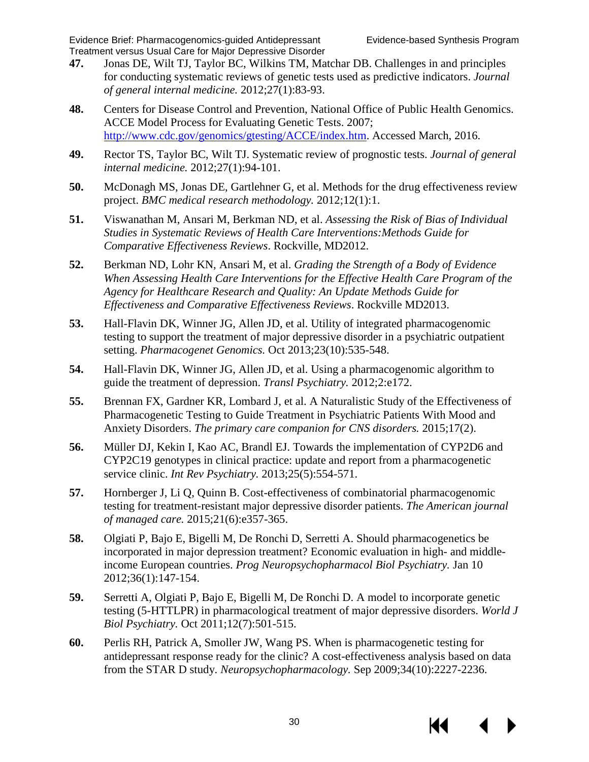- <span id="page-32-0"></span>**47.** Jonas DE, Wilt TJ, Taylor BC, Wilkins TM, Matchar DB. Challenges in and principles for conducting systematic reviews of genetic tests used as predictive indicators. *Journal of general internal medicine.* 2012;27(1):83-93.
- <span id="page-32-1"></span>**48.** Centers for Disease Control and Prevention, National Office of Public Health Genomics. ACCE Model Process for Evaluating Genetic Tests. 2007; [http://www.cdc.gov/genomics/gtesting/ACCE/index.htm.](http://www.cdc.gov/genomics/gtesting/ACCE/index.htm) Accessed March, 2016.
- <span id="page-32-2"></span>**49.** Rector TS, Taylor BC, Wilt TJ. Systematic review of prognostic tests. *Journal of general internal medicine.* 2012;27(1):94-101.
- <span id="page-32-3"></span>**50.** McDonagh MS, Jonas DE, Gartlehner G, et al. Methods for the drug effectiveness review project. *BMC medical research methodology.* 2012;12(1):1.
- <span id="page-32-4"></span>**51.** Viswanathan M, Ansari M, Berkman ND, et al. *Assessing the Risk of Bias of Individual Studies in Systematic Reviews of Health Care Interventions:Methods Guide for Comparative Effectiveness Reviews*. Rockville, MD2012.
- <span id="page-32-5"></span>**52.** Berkman ND, Lohr KN, Ansari M, et al. *Grading the Strength of a Body of Evidence When Assessing Health Care Interventions for the Effective Health Care Program of the Agency for Healthcare Research and Quality: An Update Methods Guide for Effectiveness and Comparative Effectiveness Reviews*. Rockville MD2013.
- <span id="page-32-14"></span><span id="page-32-6"></span>**53.** Hall-Flavin DK, Winner JG, Allen JD, et al. Utility of integrated pharmacogenomic testing to support the treatment of major depressive disorder in a psychiatric outpatient setting. *Pharmacogenet Genomics.* Oct 2013;23(10):535-548.
- <span id="page-32-15"></span><span id="page-32-8"></span>**54.** Hall-Flavin DK, Winner JG, Allen JD, et al. Using a pharmacogenomic algorithm to guide the treatment of depression. *Transl Psychiatry.* 2012;2:e172.
- <span id="page-32-16"></span><span id="page-32-9"></span>**55.** Brennan FX, Gardner KR, Lombard J, et al. A Naturalistic Study of the Effectiveness of Pharmacogenetic Testing to Guide Treatment in Psychiatric Patients With Mood and Anxiety Disorders. *The primary care companion for CNS disorders.* 2015;17(2).
- <span id="page-32-17"></span><span id="page-32-10"></span>**56.** Müller DJ, Kekin I, Kao AC, Brandl EJ. Towards the implementation of CYP2D6 and CYP2C19 genotypes in clinical practice: update and report from a pharmacogenetic service clinic. *Int Rev Psychiatry.* 2013;25(5):554-571.
- <span id="page-32-7"></span>**57.** Hornberger J, Li Q, Quinn B. Cost-effectiveness of combinatorial pharmacogenomic testing for treatment-resistant major depressive disorder patients. *The American journal of managed care.* 2015;21(6):e357-365.
- <span id="page-32-11"></span>**58.** Olgiati P, Bajo E, Bigelli M, De Ronchi D, Serretti A. Should pharmacogenetics be incorporated in major depression treatment? Economic evaluation in high- and middleincome European countries. *Prog Neuropsychopharmacol Biol Psychiatry.* Jan 10 2012;36(1):147-154.
- <span id="page-32-12"></span>**59.** Serretti A, Olgiati P, Bajo E, Bigelli M, De Ronchi D. A model to incorporate genetic testing (5-HTTLPR) in pharmacological treatment of major depressive disorders. *World J Biol Psychiatry.* Oct 2011;12(7):501-515.
- <span id="page-32-13"></span>**60.** Perlis RH, Patrick A, Smoller JW, Wang PS. When is pharmacogenetic testing for antidepressant response ready for the clinic? A cost-effectiveness analysis based on data from the STAR D study. *Neuropsychopharmacology.* Sep 2009;34(10):2227-2236.